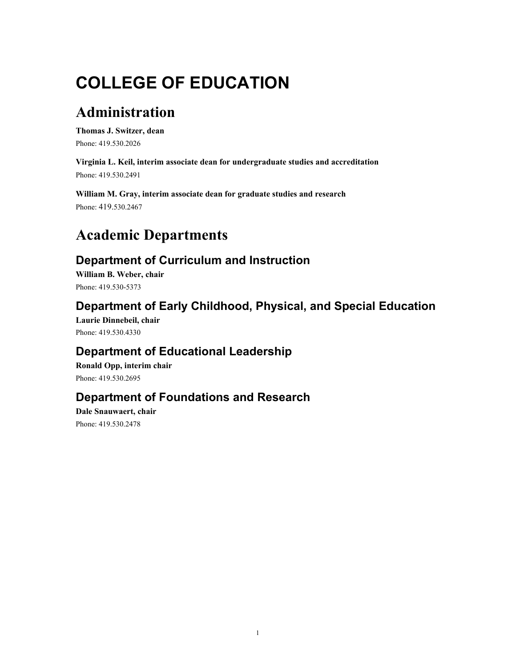# **COLLEGE OF EDUCATION**

# **Administration**

**Thomas J. Switzer, dean**  Phone: 419.530.2026

**Virginia L. Keil, interim associate dean for undergraduate studies and accreditation**  Phone: 419.530.2491

**William M. Gray, interim associate dean for graduate studies and research**  Phone: 419.530.2467

# **Academic Departments**

# **Department of Curriculum and Instruction**

**William B. Weber, chair**  Phone: 419.530-5373

# **Department of Early Childhood, Physical, and Special Education**

**Laurie Dinnebeil, chair**  Phone: 419.530.4330

# **Department of Educational Leadership**

**Ronald Opp, interim chair**  Phone: 419.530.2695

# **Department of Foundations and Research**

**Dale Snauwaert, chair**  Phone: 419.530.2478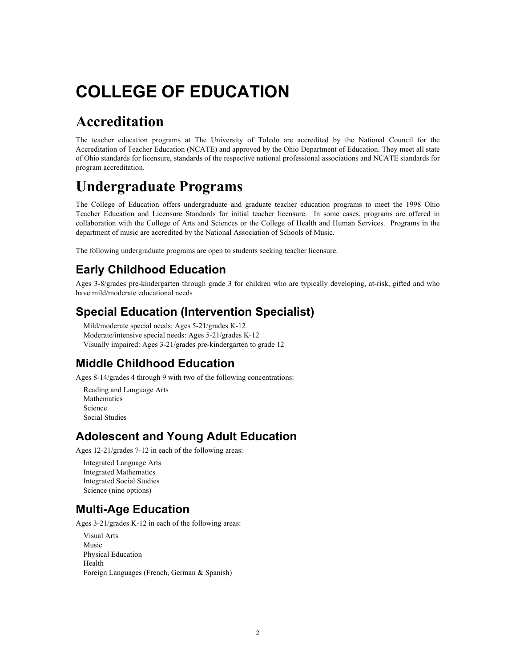# **COLLEGE OF EDUCATION**

# **Accreditation**

The teacher education programs at The University of Toledo are accredited by the National Council for the Accreditation of Teacher Education (NCATE) and approved by the Ohio Department of Education. They meet all state of Ohio standards for licensure, standards of the respective national professional associations and NCATE standards for program accreditation.

# **Undergraduate Programs**

The College of Education offers undergraduate and graduate teacher education programs to meet the 1998 Ohio Teacher Education and Licensure Standards for initial teacher licensure. In some cases, programs are offered in collaboration with the College of Arts and Sciences or the College of Health and Human Services. Programs in the department of music are accredited by the National Association of Schools of Music.

The following undergraduate programs are open to students seeking teacher licensure.

# **Early Childhood Education**

Ages 3-8/grades pre-kindergarten through grade 3 for children who are typically developing, at-risk, gifted and who have mild/moderate educational needs

# **Special Education (Intervention Specialist)**

Mild/moderate special needs: Ages 5-21/grades K-12 Moderate/intensive special needs: Ages 5-21/grades K-12 Visually impaired: Ages 3-21/grades pre-kindergarten to grade 12

# **Middle Childhood Education**

Ages 8-14/grades 4 through 9 with two of the following concentrations:

Reading and Language Arts Mathematics Science Social Studies

# **Adolescent and Young Adult Education**

Ages 12-21/grades 7-12 in each of the following areas:

Integrated Language Arts Integrated Mathematics Integrated Social Studies Science (nine options)

# **Multi-Age Education**

Ages 3-21/grades K-12 in each of the following areas:

 Visual Arts Music Physical Education Health Foreign Languages (French, German & Spanish)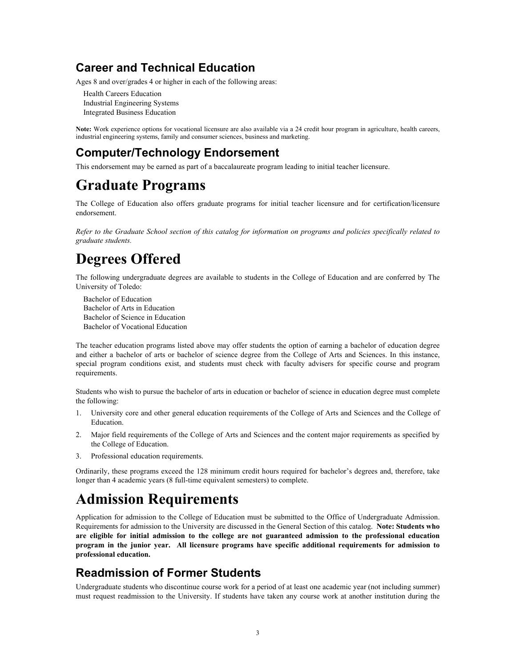# **Career and Technical Education**

Ages 8 and over/grades 4 or higher in each of the following areas:

Health Careers Education Industrial Engineering Systems Integrated Business Education

**Note:** Work experience options for vocational licensure are also available via a 24 credit hour program in agriculture, health careers, industrial engineering systems, family and consumer sciences, business and marketing.

# **Computer/Technology Endorsement**

This endorsement may be earned as part of a baccalaureate program leading to initial teacher licensure.

# **Graduate Programs**

The College of Education also offers graduate programs for initial teacher licensure and for certification/licensure endorsement.

*Refer to the Graduate School section of this catalog for information on programs and policies specifically related to graduate students.*

# **Degrees Offered**

The following undergraduate degrees are available to students in the College of Education and are conferred by The University of Toledo:

Bachelor of Education Bachelor of Arts in Education Bachelor of Science in Education Bachelor of Vocational Education

The teacher education programs listed above may offer students the option of earning a bachelor of education degree and either a bachelor of arts or bachelor of science degree from the College of Arts and Sciences. In this instance, special program conditions exist, and students must check with faculty advisers for specific course and program requirements.

Students who wish to pursue the bachelor of arts in education or bachelor of science in education degree must complete the following:

- 1. University core and other general education requirements of the College of Arts and Sciences and the College of Education.
- 2. Major field requirements of the College of Arts and Sciences and the content major requirements as specified by the College of Education.
- 3. Professional education requirements.

Ordinarily, these programs exceed the 128 minimum credit hours required for bachelor's degrees and, therefore, take longer than 4 academic years (8 full-time equivalent semesters) to complete.

# **Admission Requirements**

Application for admission to the College of Education must be submitted to the Office of Undergraduate Admission. Requirements for admission to the University are discussed in the General Section of this catalog. **Note: Students who are eligible for initial admission to the college are not guaranteed admission to the professional education program in the junior year. All licensure programs have specific additional requirements for admission to professional education.** 

# **Readmission of Former Students**

Undergraduate students who discontinue course work for a period of at least one academic year (not including summer) must request readmission to the University. If students have taken any course work at another institution during the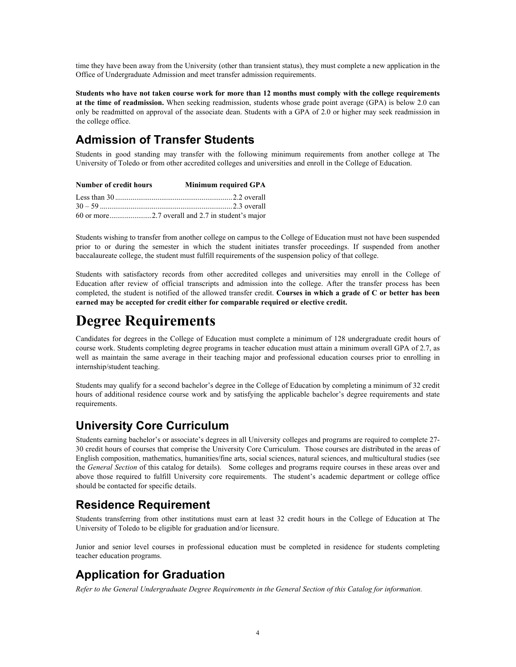time they have been away from the University (other than transient status), they must complete a new application in the Office of Undergraduate Admission and meet transfer admission requirements.

**Students who have not taken course work for more than 12 months must comply with the college requirements at the time of readmission.** When seeking readmission, students whose grade point average (GPA) is below 2.0 can only be readmitted on approval of the associate dean. Students with a GPA of 2.0 or higher may seek readmission in the college office.

# **Admission of Transfer Students**

Students in good standing may transfer with the following minimum requirements from another college at The University of Toledo or from other accredited colleges and universities and enroll in the College of Education.

| <b>Number of credit hours</b> | Minimum required GPA |
|-------------------------------|----------------------|
|                               |                      |
|                               |                      |
|                               |                      |

Students wishing to transfer from another college on campus to the College of Education must not have been suspended prior to or during the semester in which the student initiates transfer proceedings. If suspended from another baccalaureate college, the student must fulfill requirements of the suspension policy of that college.

Students with satisfactory records from other accredited colleges and universities may enroll in the College of Education after review of official transcripts and admission into the college. After the transfer process has been completed, the student is notified of the allowed transfer credit. **Courses in which a grade of C or better has been earned may be accepted for credit either for comparable required or elective credit.**

# **Degree Requirements**

Candidates for degrees in the College of Education must complete a minimum of 128 undergraduate credit hours of course work. Students completing degree programs in teacher education must attain a minimum overall GPA of 2.7, as well as maintain the same average in their teaching major and professional education courses prior to enrolling in internship/student teaching.

Students may qualify for a second bachelor's degree in the College of Education by completing a minimum of 32 credit hours of additional residence course work and by satisfying the applicable bachelor's degree requirements and state requirements.

# **University Core Curriculum**

Students earning bachelor's or associate's degrees in all University colleges and programs are required to complete 27- 30 credit hours of courses that comprise the University Core Curriculum. Those courses are distributed in the areas of English composition, mathematics, humanities/fine arts, social sciences, natural sciences, and multicultural studies (see the *General Section* of this catalog for details). Some colleges and programs require courses in these areas over and above those required to fulfill University core requirements. The student's academic department or college office should be contacted for specific details.

# **Residence Requirement**

Students transferring from other institutions must earn at least 32 credit hours in the College of Education at The University of Toledo to be eligible for graduation and/or licensure.

Junior and senior level courses in professional education must be completed in residence for students completing teacher education programs.

# **Application for Graduation**

*Refer to the General Undergraduate Degree Requirements in the General Section of this Catalog for information.*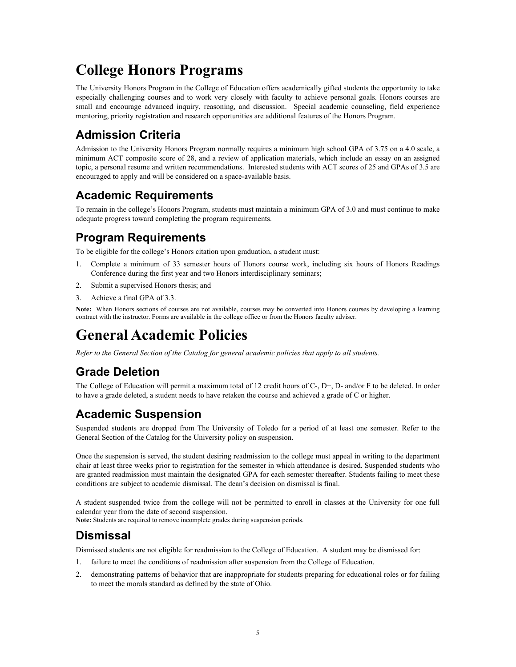# **College Honors Programs**

The University Honors Program in the College of Education offers academically gifted students the opportunity to take especially challenging courses and to work very closely with faculty to achieve personal goals. Honors courses are small and encourage advanced inquiry, reasoning, and discussion. Special academic counseling, field experience mentoring, priority registration and research opportunities are additional features of the Honors Program.

# **Admission Criteria**

Admission to the University Honors Program normally requires a minimum high school GPA of 3.75 on a 4.0 scale, a minimum ACT composite score of 28, and a review of application materials, which include an essay on an assigned topic, a personal resume and written recommendations. Interested students with ACT scores of 25 and GPAs of 3.5 are encouraged to apply and will be considered on a space-available basis.

# **Academic Requirements**

To remain in the college's Honors Program, students must maintain a minimum GPA of 3.0 and must continue to make adequate progress toward completing the program requirements.

# **Program Requirements**

To be eligible for the college's Honors citation upon graduation, a student must:

- 1. Complete a minimum of 33 semester hours of Honors course work, including six hours of Honors Readings Conference during the first year and two Honors interdisciplinary seminars;
- 2. Submit a supervised Honors thesis; and
- 3. Achieve a final GPA of 3.3.

**Note:** When Honors sections of courses are not available, courses may be converted into Honors courses by developing a learning contract with the instructor. Forms are available in the college office or from the Honors faculty adviser.

# **General Academic Policies**

*Refer to the General Section of the Catalog for general academic policies that apply to all students.*

# **Grade Deletion**

The College of Education will permit a maximum total of 12 credit hours of C-, D+, D- and/or F to be deleted. In order to have a grade deleted, a student needs to have retaken the course and achieved a grade of C or higher.

# **Academic Suspension**

Suspended students are dropped from The University of Toledo for a period of at least one semester. Refer to the General Section of the Catalog for the University policy on suspension.

Once the suspension is served, the student desiring readmission to the college must appeal in writing to the department chair at least three weeks prior to registration for the semester in which attendance is desired. Suspended students who are granted readmission must maintain the designated GPA for each semester thereafter. Students failing to meet these conditions are subject to academic dismissal. The dean's decision on dismissal is final.

A student suspended twice from the college will not be permitted to enroll in classes at the University for one full calendar year from the date of second suspension.

**Note:** Students are required to remove incomplete grades during suspension periods.

# **Dismissal**

Dismissed students are not eligible for readmission to the College of Education. A student may be dismissed for:

- 1. failure to meet the conditions of readmission after suspension from the College of Education.
- 2. demonstrating patterns of behavior that are inappropriate for students preparing for educational roles or for failing to meet the morals standard as defined by the state of Ohio.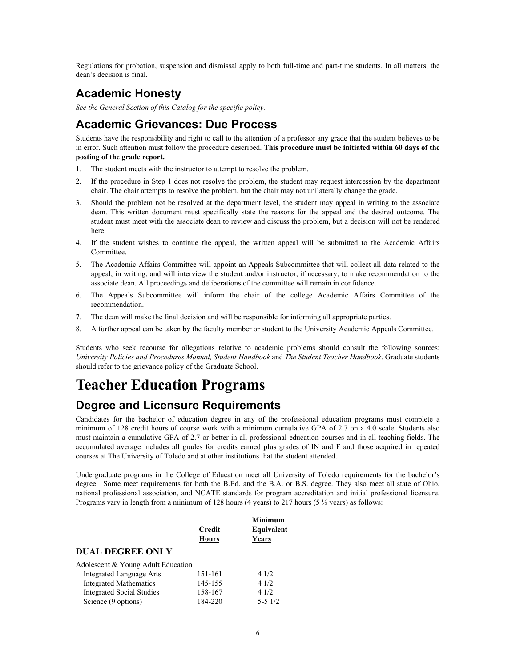Regulations for probation, suspension and dismissal apply to both full-time and part-time students. In all matters, the dean's decision is final.

# **Academic Honesty**

*See the General Section of this Catalog for the specific policy.*

### **Academic Grievances: Due Process**

Students have the responsibility and right to call to the attention of a professor any grade that the student believes to be in error. Such attention must follow the procedure described. **This procedure must be initiated within 60 days of the posting of the grade report.** 

- 1. The student meets with the instructor to attempt to resolve the problem.
- 2. If the procedure in Step 1 does not resolve the problem, the student may request intercession by the department chair. The chair attempts to resolve the problem, but the chair may not unilaterally change the grade.
- 3. Should the problem not be resolved at the department level, the student may appeal in writing to the associate dean. This written document must specifically state the reasons for the appeal and the desired outcome. The student must meet with the associate dean to review and discuss the problem, but a decision will not be rendered here.
- 4. If the student wishes to continue the appeal, the written appeal will be submitted to the Academic Affairs Committee.
- 5. The Academic Affairs Committee will appoint an Appeals Subcommittee that will collect all data related to the appeal, in writing, and will interview the student and/or instructor, if necessary, to make recommendation to the associate dean. All proceedings and deliberations of the committee will remain in confidence.
- 6. The Appeals Subcommittee will inform the chair of the college Academic Affairs Committee of the recommendation.
- 7. The dean will make the final decision and will be responsible for informing all appropriate parties.
- 8. A further appeal can be taken by the faculty member or student to the University Academic Appeals Committee.

Students who seek recourse for allegations relative to academic problems should consult the following sources: *University Policies and Procedures Manual, Student Handbook* and *The Student Teacher Handbook*. Graduate students should refer to the grievance policy of the Graduate School.

# **Teacher Education Programs**

# **Degree and Licensure Requirements**

Candidates for the bachelor of education degree in any of the professional education programs must complete a minimum of 128 credit hours of course work with a minimum cumulative GPA of 2.7 on a 4.0 scale. Students also must maintain a cumulative GPA of 2.7 or better in all professional education courses and in all teaching fields. The accumulated average includes all grades for credits earned plus grades of IN and F and those acquired in repeated courses at The University of Toledo and at other institutions that the student attended.

Undergraduate programs in the College of Education meet all University of Toledo requirements for the bachelor's degree. Some meet requirements for both the B.Ed. and the B.A. or B.S. degree. They also meet all state of Ohio, national professional association, and NCATE standards for program accreditation and initial professional licensure. Programs vary in length from a minimum of 128 hours (4 years) to 217 hours (5  $\frac{1}{2}$  years) as follows:

|                                    | <b>Credit</b><br>Hours | Minimum<br>Equivalent<br>Years |
|------------------------------------|------------------------|--------------------------------|
| <b>DUAL DEGREE ONLY</b>            |                        |                                |
| Adolescent & Young Adult Education |                        |                                |
| <b>Integrated Language Arts</b>    | 151-161                | 4 1/2                          |
| <b>Integrated Mathematics</b>      | 145-155                | 41/2                           |
| <b>Integrated Social Studies</b>   | 158-167                | 4 1/2                          |
| Science (9 options)                | 184-220                | $5 - 51/2$                     |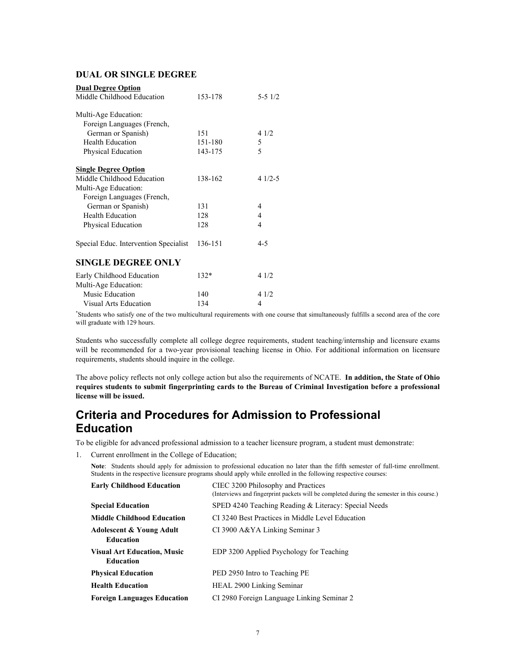#### **DUAL OR SINGLE DEGREE**

| <b>Dual Degree Option</b>             |         |                |
|---------------------------------------|---------|----------------|
| Middle Childhood Education            | 153-178 | $5 - 51/2$     |
|                                       |         |                |
| Multi-Age Education:                  |         |                |
| Foreign Languages (French,            |         |                |
| German or Spanish)                    | 151     | 41/2           |
| <b>Health Education</b>               | 151-180 | 5              |
| Physical Education                    | 143-175 | 5              |
|                                       |         |                |
| <b>Single Degree Option</b>           |         |                |
| Middle Childhood Education            | 138-162 | $41/2-5$       |
| Multi-Age Education:                  |         |                |
| Foreign Languages (French,            |         |                |
| German or Spanish)                    | 131     | 4              |
| <b>Health Education</b>               | 128     | $\overline{4}$ |
| Physical Education                    | 128     | 4              |
|                                       | 136-151 | $4 - 5$        |
| Special Educ. Intervention Specialist |         |                |
| <b>SINGLE DEGREE ONLY</b>             |         |                |
| Early Childhood Education             | $132*$  | 41/2           |
| Multi-Age Education:                  |         |                |
| Music Education                       | 140     | 41/2           |
| Visual Arts Education                 | 134     | 4              |

\* Students who satisfy one of the two multicultural requirements with one course that simultaneously fulfills a second area of the core will graduate with 129 hours.

Students who successfully complete all college degree requirements, student teaching/internship and licensure exams will be recommended for a two-year provisional teaching license in Ohio. For additional information on licensure requirements, students should inquire in the college.

The above policy reflects not only college action but also the requirements of NCATE. **In addition, the State of Ohio requires students to submit fingerprinting cards to the Bureau of Criminal Investigation before a professional license will be issued.** 

# **Criteria and Procedures for Admission to Professional Education**

To be eligible for advanced professional admission to a teacher licensure program, a student must demonstrate:

1. Current enrollment in the College of Education;

**Note**: Students should apply for admission to professional education no later than the fifth semester of full-time enrollment. Students in the respective licensure programs should apply while enrolled in the following respective courses:

| <b>Early Childhood Education</b>                        | CIEC 3200 Philosophy and Practices<br>(Interviews and fingerprint packets will be completed during the semester in this course.) |
|---------------------------------------------------------|----------------------------------------------------------------------------------------------------------------------------------|
| <b>Special Education</b>                                | SPED 4240 Teaching Reading & Literacy: Special Needs                                                                             |
| <b>Middle Childhood Education</b>                       | CI 3240 Best Practices in Middle Level Education                                                                                 |
| <b>Adolescent &amp; Young Adult</b><br><b>Education</b> | CI 3900 A&YA Linking Seminar 3                                                                                                   |
| <b>Visual Art Education, Music</b><br><b>Education</b>  | EDP 3200 Applied Psychology for Teaching                                                                                         |
| <b>Physical Education</b>                               | PED 2950 Intro to Teaching PE                                                                                                    |
| <b>Health Education</b>                                 | HEAL 2900 Linking Seminar                                                                                                        |
| <b>Foreign Languages Education</b>                      | CI 2980 Foreign Language Linking Seminar 2                                                                                       |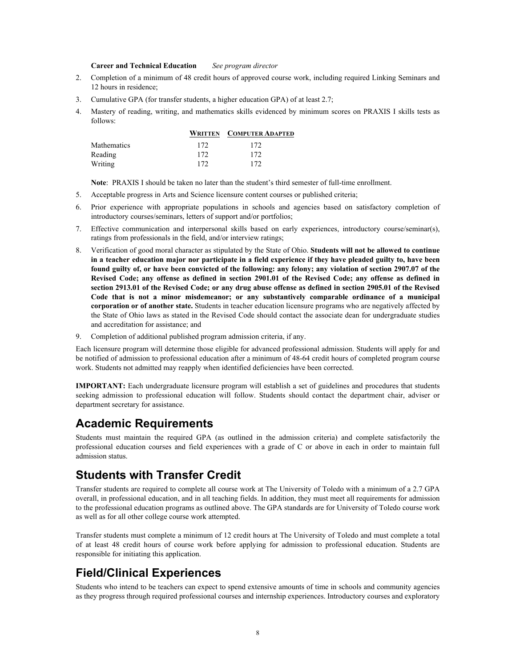#### **Career and Technical Education** *See program director*

- 2. Completion of a minimum of 48 credit hours of approved course work, including required Linking Seminars and 12 hours in residence;
- 3. Cumulative GPA (for transfer students, a higher education GPA) of at least 2.7;
- 4. Mastery of reading, writing, and mathematics skills evidenced by minimum scores on PRAXIS I skills tests as follows:

|                    |     | <b>WRITTEN COMPUTER ADAPTED</b> |
|--------------------|-----|---------------------------------|
| <b>Mathematics</b> | 172 | 172                             |
| Reading            | 172 | 172                             |
| Writing            | 172 | 172                             |

**Note**: PRAXIS I should be taken no later than the student's third semester of full-time enrollment.

- 5. Acceptable progress in Arts and Science licensure content courses or published criteria;
- 6. Prior experience with appropriate populations in schools and agencies based on satisfactory completion of introductory courses/seminars, letters of support and/or portfolios;
- 7. Effective communication and interpersonal skills based on early experiences, introductory course/seminar(s), ratings from professionals in the field, and/or interview ratings;
- 8. Verification of good moral character as stipulated by the State of Ohio. **Students will not be allowed to continue in a teacher education major nor participate in a field experience if they have pleaded guilty to, have been found guilty of, or have been convicted of the following: any felony; any violation of section 2907.07 of the Revised Code; any offense as defined in section 2901.01 of the Revised Code; any offense as defined in section 2913.01 of the Revised Code; or any drug abuse offense as defined in section 2905.01 of the Revised Code that is not a minor misdemeanor; or any substantively comparable ordinance of a municipal corporation or of another state.** Students in teacher education licensure programs who are negatively affected by the State of Ohio laws as stated in the Revised Code should contact the associate dean for undergraduate studies and accreditation for assistance; and
- 9. Completion of additional published program admission criteria, if any.

Each licensure program will determine those eligible for advanced professional admission. Students will apply for and be notified of admission to professional education after a minimum of 48-64 credit hours of completed program course work. Students not admitted may reapply when identified deficiencies have been corrected.

**IMPORTANT:** Each undergraduate licensure program will establish a set of guidelines and procedures that students seeking admission to professional education will follow. Students should contact the department chair, adviser or department secretary for assistance.

## **Academic Requirements**

Students must maintain the required GPA (as outlined in the admission criteria) and complete satisfactorily the professional education courses and field experiences with a grade of C or above in each in order to maintain full admission status.

## **Students with Transfer Credit**

Transfer students are required to complete all course work at The University of Toledo with a minimum of a 2.7 GPA overall, in professional education, and in all teaching fields. In addition, they must meet all requirements for admission to the professional education programs as outlined above. The GPA standards are for University of Toledo course work as well as for all other college course work attempted.

Transfer students must complete a minimum of 12 credit hours at The University of Toledo and must complete a total of at least 48 credit hours of course work before applying for admission to professional education. Students are responsible for initiating this application.

# **Field/Clinical Experiences**

Students who intend to be teachers can expect to spend extensive amounts of time in schools and community agencies as they progress through required professional courses and internship experiences. Introductory courses and exploratory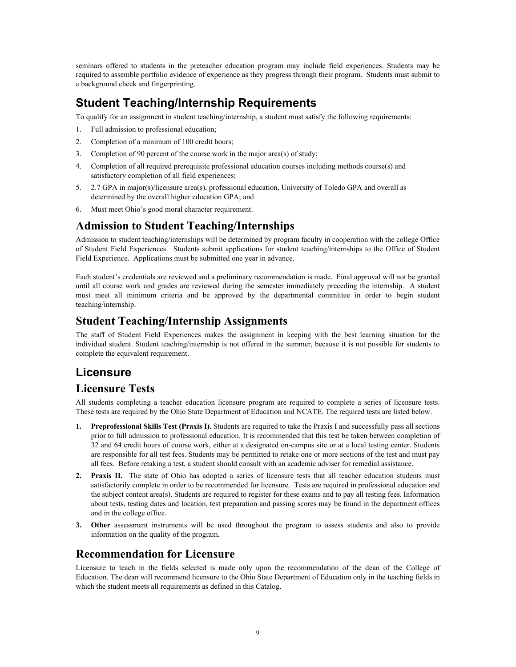seminars offered to students in the preteacher education program may include field experiences. Students may be required to assemble portfolio evidence of experience as they progress through their program. Students must submit to a background check and fingerprinting.

# **Student Teaching/Internship Requirements**

To qualify for an assignment in student teaching/internship, a student must satisfy the following requirements:

- 1. Full admission to professional education;
- 2. Completion of a minimum of 100 credit hours;
- 3. Completion of 90 percent of the course work in the major area(s) of study;
- 4. Completion of all required prerequisite professional education courses including methods course(s) and satisfactory completion of all field experiences;
- 5. 2.7 GPA in major(s)/licensure area(s), professional education, University of Toledo GPA and overall as determined by the overall higher education GPA; and
- 6. Must meet Ohio's good moral character requirement.

# **Admission to Student Teaching/Internships**

Admission to student teaching/internships will be determined by program faculty in cooperation with the college Office of Student Field Experiences. Students submit applications for student teaching/internships to the Office of Student Field Experience. Applications must be submitted one year in advance.

Each student's credentials are reviewed and a preliminary recommendation is made. Final approval will not be granted until all course work and grades are reviewed during the semester immediately preceding the internship. A student must meet all minimum criteria and be approved by the departmental committee in order to begin student teaching/internship.

# **Student Teaching/Internship Assignments**

The staff of Student Field Experiences makes the assignment in keeping with the best learning situation for the individual student. Student teaching/internship is not offered in the summer, because it is not possible for students to complete the equivalent requirement.

# **Licensure**

## **Licensure Tests**

All students completing a teacher education licensure program are required to complete a series of licensure tests. These tests are required by the Ohio State Department of Education and NCATE. The required tests are listed below.

- **1. Preprofessional Skills Test (Praxis I).** Students are required to take the Praxis I and successfully pass all sections prior to full admission to professional education. It is recommended that this test be taken between completion of 32 and 64 credit hours of course work, either at a designated on-campus site or at a local testing center. Students are responsible for all test fees. Students may be permitted to retake one or more sections of the test and must pay all fees. Before retaking a test, a student should consult with an academic adviser for remedial assistance.
- **2. Praxis II.** The state of Ohio has adopted a series of licensure tests that all teacher education students must satisfactorily complete in order to be recommended for licensure. Tests are required in professional education and the subject content area(s). Students are required to register for these exams and to pay all testing fees. Information about tests, testing dates and location, test preparation and passing scores may be found in the department offices and in the college office.
- **3. Other** assessment instruments will be used throughout the program to assess students and also to provide information on the quality of the program.

## **Recommendation for Licensure**

Licensure to teach in the fields selected is made only upon the recommendation of the dean of the College of Education. The dean will recommend licensure to the Ohio State Department of Education only in the teaching fields in which the student meets all requirements as defined in this Catalog.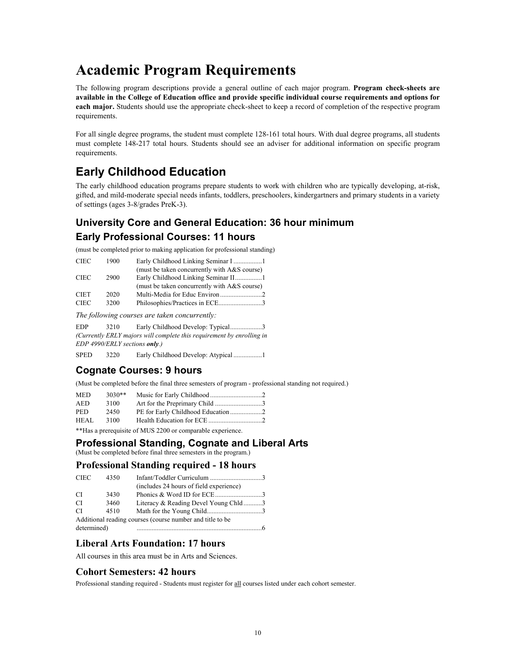# **Academic Program Requirements**

The following program descriptions provide a general outline of each major program. **Program check-sheets are available in the College of Education office and provide specific individual course requirements and options for each major.** Students should use the appropriate check-sheet to keep a record of completion of the respective program requirements.

For all single degree programs, the student must complete 128-161 total hours. With dual degree programs, all students must complete 148-217 total hours. Students should see an adviser for additional information on specific program requirements.

# **Early Childhood Education**

The early childhood education programs prepare students to work with children who are typically developing, at-risk, gifted, and mild-moderate special needs infants, toddlers, preschoolers, kindergartners and primary students in a variety of settings (ages 3-8/grades PreK-3).

# **University Core and General Education: 36 hour minimum Early Professional Courses: 11 hours**

(must be completed prior to making application for professional standing)

| <b>CIEC</b> | 1900 |                                              |
|-------------|------|----------------------------------------------|
|             |      | (must be taken concurrently with A&S course) |
| <b>CIEC</b> | 2900 |                                              |
|             |      | (must be taken concurrently with A&S course) |
| <b>CIET</b> | 2020 |                                              |
| <b>CIEC</b> | 3200 | Philosophies/Practices in ECE3               |

*The following courses are taken concurrently:*

EDP 3210 Early Childhood Develop: Typical....................3 *(Currently ERLY majors will complete this requirement by enrolling in EDP 4990/ERLY sections only.)*

SPED 3220 Early Childhood Develop: Atypical ..................1

## **Cognate Courses: 9 hours**

(Must be completed before the final three semesters of program - professional standing not required.)

| <b>MED</b> | $3030**$ |                                                            |  |
|------------|----------|------------------------------------------------------------|--|
| <b>AED</b> | 3100     |                                                            |  |
| <b>PED</b> | 2450     |                                                            |  |
| HEAL.      | 3100     |                                                            |  |
|            |          | **Has a prerequisite of MUS 2200 or comparable experience. |  |

#### **Professional Standing, Cognate and Liberal Arts**

(Must be completed before final three semesters in the program.)

#### **Professional Standing required - 18 hours**

| Infant/Toddler Curriculum 3                               |  |  |  |
|-----------------------------------------------------------|--|--|--|
| (includes 24 hours of field experience)                   |  |  |  |
|                                                           |  |  |  |
| Literacy & Reading Devel Young Chld3                      |  |  |  |
|                                                           |  |  |  |
| Additional reading courses (course number and title to be |  |  |  |
|                                                           |  |  |  |
|                                                           |  |  |  |

#### **Liberal Arts Foundation: 17 hours**

All courses in this area must be in Arts and Sciences.

#### **Cohort Semesters: 42 hours**

Professional standing required - Students must register for all courses listed under each cohort semester.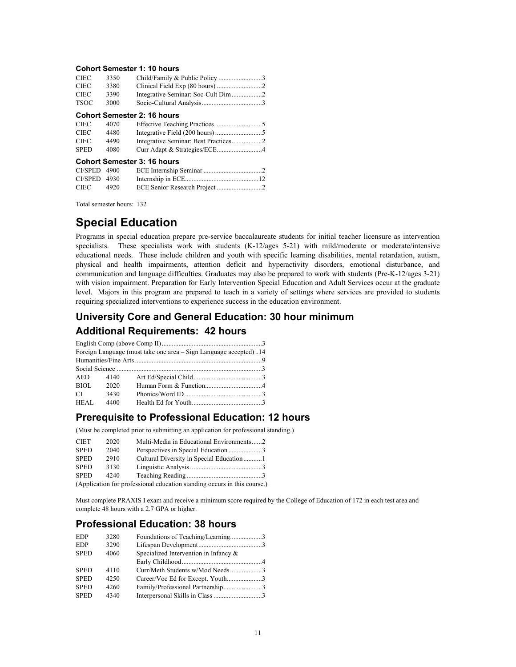#### **Cohort Semester 1: 10 hours**

| <b>CIEC</b>                        | 3350 |  |  |
|------------------------------------|------|--|--|
| <b>CIEC</b>                        | 3380 |  |  |
| <b>CIEC</b>                        | 3390 |  |  |
| <b>TSOC</b>                        | 3000 |  |  |
| <b>Cohort Semester 2: 16 hours</b> |      |  |  |
| <b>CIEC</b>                        | 4070 |  |  |

| Cohort Sampetor 2: 16 hours |      |  |  |
|-----------------------------|------|--|--|
| <b>SPED</b>                 | 4080 |  |  |
| CIEC                        | 4490 |  |  |
| <b>CIEC</b>                 | 4480 |  |  |

|                |      | <b>PONDICOUNTLY 10 NONE</b> |  |
|----------------|------|-----------------------------|--|
| $CI/SPED$ 4900 |      |                             |  |
| CI/SPED 4930   |      |                             |  |
| <b>CIEC</b>    | 4920 |                             |  |

Total semester hours: 132

# **Special Education**

Programs in special education prepare pre-service baccalaureate students for initial teacher licensure as intervention specialists. These specialists work with students (K-12/ages 5-21) with mild/moderate or moderate/intensive educational needs. These include children and youth with specific learning disabilities, mental retardation, autism, physical and health impairments, attention deficit and hyperactivity disorders, emotional disturbance, and communication and language difficulties. Graduates may also be prepared to work with students (Pre-K-12/ages 3-21) with vision impairment. Preparation for Early Intervention Special Education and Adult Services occur at the graduate level. Majors in this program are prepared to teach in a variety of settings where services are provided to students requiring specialized interventions to experience success in the education environment.

# **University Core and General Education: 30 hour minimum Additional Requirements: 42 hours**

|               |      | Foreign Language (must take one area – Sign Language accepted)14 |  |
|---------------|------|------------------------------------------------------------------|--|
|               |      |                                                                  |  |
|               |      |                                                                  |  |
| AED 4140      |      |                                                                  |  |
| BIOL          | 2020 |                                                                  |  |
| $CI$ and $CI$ | 3430 | Phonics/Word ID 3                                                |  |
| HEAL          | 4400 |                                                                  |  |

#### **Prerequisite to Professional Education: 12 hours**

(Must be completed prior to submitting an application for professional standing.)

| CIET                     | 2020 | Multi-Media in Educational Environments2 |  |
|--------------------------|------|------------------------------------------|--|
| <b>SPED</b>              | 2040 | Perspectives in Special Education3       |  |
| <b>SPED</b>              | 2910 | Cultural Diversity in Special Education1 |  |
| <b>SPED</b>              | 3130 |                                          |  |
| <b>SPED</b>              | 4240 |                                          |  |
| $(\Lambda_{\text{sub}})$ |      |                                          |  |

(Application for professional education standing occurs in this course.)

Must complete PRAXIS I exam and receive a minimum score required by the College of Education of 172 in each test area and complete 48 hours with a 2.7 GPA or higher.

### **Professional Education: 38 hours**

| <b>EDP</b>  | 3280 | Foundations of Teaching/Learning3        |  |
|-------------|------|------------------------------------------|--|
| <b>EDP</b>  | 3290 |                                          |  |
| <b>SPED</b> | 4060 | Specialized Intervention in Infancy $\&$ |  |
|             |      |                                          |  |
| <b>SPED</b> | 4110 | Curr/Meth Students w/Mod Needs3          |  |
| <b>SPED</b> | 4250 | Career/Voc Ed for Except. Youth3         |  |
| <b>SPED</b> | 4260 | Family/Professional Partnership3         |  |
| <b>SPED</b> | 4340 |                                          |  |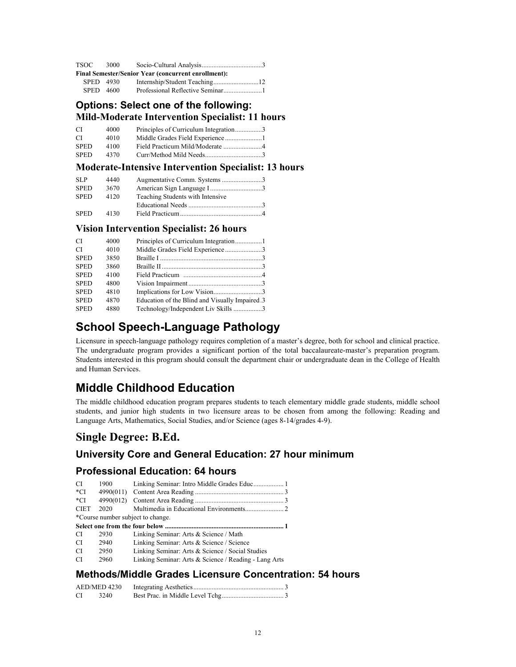| TSOC      | 3000 |                                                            |
|-----------|------|------------------------------------------------------------|
|           |      | <b>Final Semester/Senior Year (concurrent enrollment):</b> |
| SPED 4930 |      |                                                            |
| SPED 4600 |      |                                                            |

#### **Options: Select one of the following: Mild-Moderate Intervention Specialist: 11 hours**

| CI          | 4000 | Principles of Curriculum Integration3 |  |
|-------------|------|---------------------------------------|--|
| СI          | 4010 |                                       |  |
| <b>SPED</b> | 4100 |                                       |  |
| <b>SPED</b> | 4370 |                                       |  |

#### **Moderate-Intensive Intervention Specialist: 13 hours**

| SLP         | 4440 |                                  |
|-------------|------|----------------------------------|
| <b>SPED</b> | 3670 |                                  |
| <b>SPED</b> | 4120 | Teaching Students with Intensive |
|             |      |                                  |
| <b>SPED</b> | 4130 |                                  |

#### **Vision Intervention Specialist: 26 hours**

| CI          | 4000 |                                                |  |
|-------------|------|------------------------------------------------|--|
| CI          | 4010 | Middle Grades Field Experience3                |  |
| <b>SPED</b> | 3850 |                                                |  |
| <b>SPED</b> | 3860 |                                                |  |
| <b>SPED</b> | 4100 |                                                |  |
| <b>SPED</b> | 4800 |                                                |  |
| <b>SPED</b> | 4810 |                                                |  |
| <b>SPED</b> | 4870 | Education of the Blind and Visually Impaired.3 |  |
| <b>SPED</b> | 4880 | Technology/Independent Liv Skills 3            |  |

# **School Speech-Language Pathology**

Licensure in speech-language pathology requires completion of a master's degree, both for school and clinical practice. The undergraduate program provides a significant portion of the total baccalaureate-master's preparation program. Students interested in this program should consult the department chair or undergraduate dean in the College of Health and Human Services.

# **Middle Childhood Education**

The middle childhood education program prepares students to teach elementary middle grade students, middle school students, and junior high students in two licensure areas to be chosen from among the following: Reading and Language Arts, Mathematics, Social Studies, and/or Science (ages 8-14/grades 4-9).

# **Single Degree: B.Ed.**

## **University Core and General Education: 27 hour minimum**

### **Professional Education: 64 hours**

| CI          | 1900                              |                                                       |  |  |
|-------------|-----------------------------------|-------------------------------------------------------|--|--|
| *CI         | 4990(011)                         |                                                       |  |  |
| *CI         | 4990(012)                         |                                                       |  |  |
| <b>CIET</b> | 2020                              |                                                       |  |  |
|             | *Course number subject to change. |                                                       |  |  |
|             |                                   |                                                       |  |  |
| CI          | 2930                              | Linking Seminar: Arts & Science / Math                |  |  |
| CI          | 2940                              | Linking Seminar: Arts & Science / Science             |  |  |
| CI          | 2950                              | Linking Seminar: Arts & Science / Social Studies      |  |  |
| CI          | 2960                              | Linking Seminar: Arts & Science / Reading - Lang Arts |  |  |

### **Methods/Middle Grades Licensure Concentration: 54 hours**

|    | AED/MED 4230 |  |
|----|--------------|--|
| CI | 3240         |  |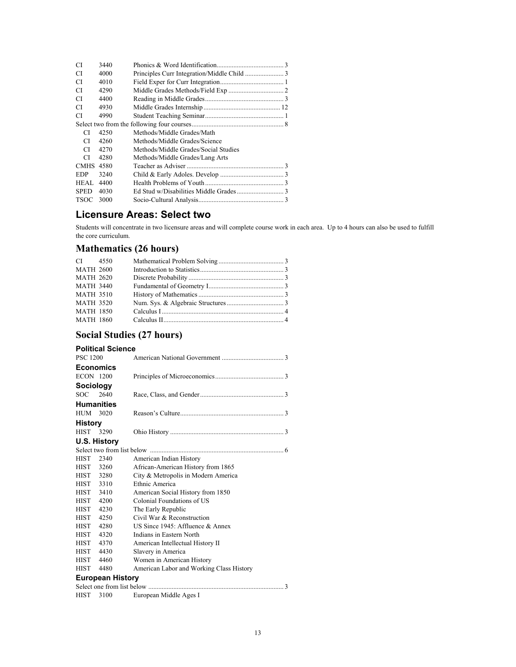| CI          | 3440 |                                      |  |
|-------------|------|--------------------------------------|--|
| CI          | 4000 |                                      |  |
| CI          | 4010 |                                      |  |
| CI          | 4290 |                                      |  |
| CI          | 4400 |                                      |  |
| CI          | 4930 |                                      |  |
| CI          | 4990 |                                      |  |
|             |      |                                      |  |
| СI          | 4250 | Methods/Middle Grades/Math           |  |
| СI          | 4260 | Methods/Middle Grades/Science        |  |
| СI          | 4270 | Methods/Middle Grades/Social Studies |  |
| СI          | 4280 | Methods/Middle Grades/Lang Arts      |  |
| <b>CMHS</b> | 4580 |                                      |  |
| EDP         | 3240 |                                      |  |
| HEAL.       | 4400 |                                      |  |
| <b>SPED</b> | 4030 |                                      |  |
| <b>TSOC</b> | 3000 |                                      |  |

### **Licensure Areas: Select two**

Students will concentrate in two licensure areas and will complete course work in each area. Up to 4 hours can also be used to fulfill the core curriculum.

### **Mathematics (26 hours)**

| CI 4550          |  |  |
|------------------|--|--|
| <b>MATH 2600</b> |  |  |
| <b>MATH 2620</b> |  |  |
| <b>MATH 3440</b> |  |  |
| <b>MATH 3510</b> |  |  |
| <b>MATH 3520</b> |  |  |
| <b>MATH 1850</b> |  |  |
| <b>MATH 1860</b> |  |  |
|                  |  |  |

# **Social Studies (27 hours)**

|                          | Social Studies (27 hours) |                                          |  |  |
|--------------------------|---------------------------|------------------------------------------|--|--|
| <b>Political Science</b> |                           |                                          |  |  |
| <b>PSC 1200</b>          |                           |                                          |  |  |
|                          | <b>Economics</b>          |                                          |  |  |
| <b>ECON 1200</b>         |                           |                                          |  |  |
| <b>Sociology</b>         |                           |                                          |  |  |
| SOC.                     | 2640                      |                                          |  |  |
|                          | <b>Humanities</b>         |                                          |  |  |
| HUM 3020                 |                           |                                          |  |  |
| <b>History</b>           |                           |                                          |  |  |
| <b>HIST</b>              | 3290                      |                                          |  |  |
|                          | U.S. History              |                                          |  |  |
|                          |                           |                                          |  |  |
| <b>HIST</b>              | 2340                      | American Indian History                  |  |  |
| HIST 3260                |                           | African-American History from 1865       |  |  |
| HIST 3280                |                           | City & Metropolis in Modern America      |  |  |
| HIST 3310                |                           | Ethnic America                           |  |  |
| HIST                     | 3410                      | American Social History from 1850        |  |  |
| HIST                     | 4200                      | Colonial Foundations of US               |  |  |
| <b>HIST</b>              | 4230                      | The Early Republic                       |  |  |
| <b>HIST</b>              | 4250                      | Civil War & Reconstruction               |  |  |
| HIST                     | 4280                      | US Since $1945$ : Affluence & Annex      |  |  |
| <b>HIST</b>              | 4320                      | Indians in Eastern North                 |  |  |
| <b>HIST</b>              | 4370                      | American Intellectual History II         |  |  |
| HIST                     | 4430                      | Slavery in America                       |  |  |
| HIST                     | 4460                      | Women in American History                |  |  |
| <b>HIST</b>              | 4480                      | American Labor and Working Class History |  |  |
|                          | <b>European History</b>   |                                          |  |  |
|                          |                           |                                          |  |  |
| <b>HIST</b>              | 3100                      | European Middle Ages I                   |  |  |
|                          |                           |                                          |  |  |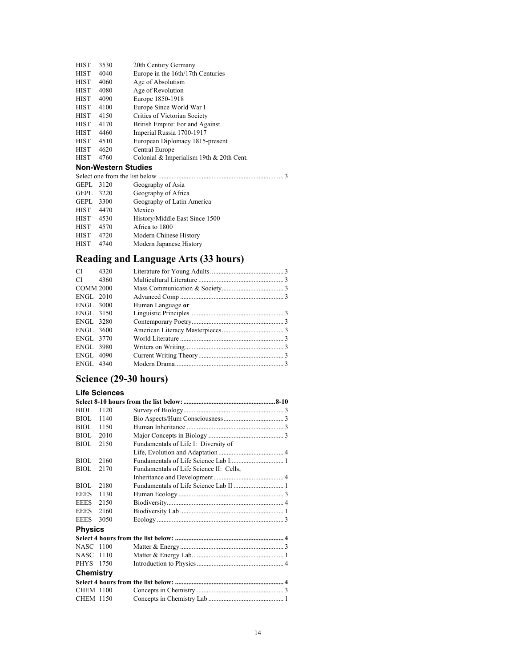| <b>HIST</b> | 3530 | 20th Century Germany              |
|-------------|------|-----------------------------------|
| <b>HIST</b> | 4040 | Europe in the 16th/17th Centuries |
| <b>HIST</b> | 4060 | Age of Absolutism                 |
| <b>HIST</b> | 4080 | Age of Revolution                 |
| <b>HIST</b> | 4090 | Europe 1850-1918                  |
| <b>HIST</b> | 4100 | Europe Since World War I          |
| <b>HIST</b> | 4150 | Critics of Victorian Society      |
| <b>HIST</b> | 4170 | British Empire: For and Against   |
| <b>HIST</b> | 4460 | Imperial Russia 1700-1917         |
| <b>HIST</b> | 4510 | European Diplomacy 1815-present   |
| <b>HIST</b> | 4620 | Central Europe                    |
|             |      |                                   |

HIST 4760 Colonial & Imperialism 19th & 20th Cent.

#### **Non-Western Studies**

| <b>GEPL</b> | 3120 | Geography of Asia              |  |  |
|-------------|------|--------------------------------|--|--|
| GEPL        | 3220 | Geography of Africa            |  |  |
| GEPL        | 3300 | Geography of Latin America     |  |  |
| <b>HIST</b> | 4470 | Mexico                         |  |  |
| <b>HIST</b> | 4530 | History/Middle East Since 1500 |  |  |
| <b>HIST</b> | 4570 | Africa to 1800                 |  |  |
| <b>HIST</b> | 4720 | Modern Chinese History         |  |  |
| <b>HIST</b> | 4740 | Modern Japanese History        |  |  |
|             |      |                                |  |  |

# **Reading and Language Arts (33 hours)**

| $CI$ 4320        |      |                   |  |
|------------------|------|-------------------|--|
| $CI$ $\Box$      | 4360 |                   |  |
| <b>COMM 2000</b> |      |                   |  |
| ENGL 2010        |      |                   |  |
| <b>ENGL 3000</b> |      | Human Language or |  |
| ENGL 3150        |      |                   |  |
| ENGL 3280        |      |                   |  |
| ENGL 3600        |      |                   |  |
| ENGL 3770        |      |                   |  |
| <b>ENGL 3980</b> |      |                   |  |
| <b>ENGL 4090</b> |      |                   |  |
| ENGL 4340        |      |                   |  |

# **Science (29-30 hours)**

#### **Life Sciences**

| BIOL             | 1120 |                                         |
|------------------|------|-----------------------------------------|
| BIOL.            | 1140 |                                         |
| BIOL.            | 1150 |                                         |
| BIOL             | 2010 |                                         |
| <b>BIOL</b>      | 2150 | Fundamentals of Life I: Diversity of    |
|                  |      |                                         |
| BIOL             | 2160 |                                         |
| <b>BIOL</b>      | 2170 | Fundamentals of Life Science II: Cells, |
|                  |      |                                         |
| BIOL.            | 2180 |                                         |
| <b>EEES</b>      | 1130 |                                         |
| <b>EEES</b>      | 2150 |                                         |
| <b>EEES</b>      | 2160 |                                         |
| <b>EEES</b>      | 3050 |                                         |
| <b>Physics</b>   |      |                                         |
|                  |      |                                         |
| NASC 1100        |      |                                         |
| NASC 1110        |      |                                         |
| PHYS 1750        |      |                                         |
| Chemistry        |      |                                         |
|                  |      |                                         |
| <b>CHEM 1100</b> |      |                                         |
| <b>CHEM 1150</b> |      |                                         |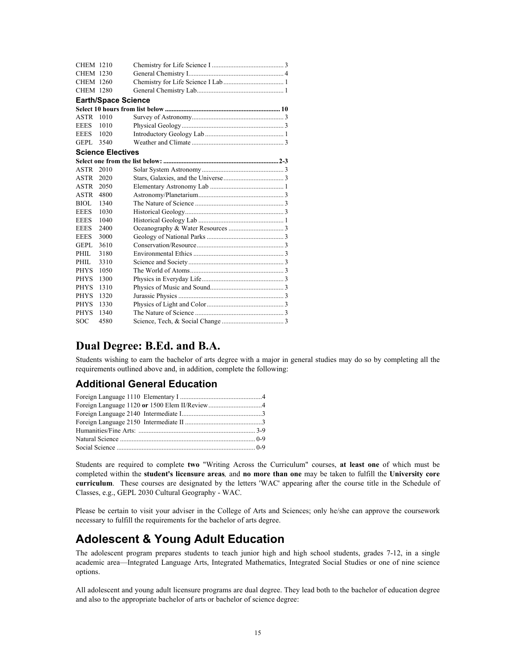| <b>CHEM 1210</b> |                            |  |
|------------------|----------------------------|--|
| <b>CHEM 1230</b> |                            |  |
| CHEM 1260        |                            |  |
| <b>CHEM 1280</b> |                            |  |
|                  | <b>Earth/Space Science</b> |  |
|                  |                            |  |
| ASTR             | 1010                       |  |
| <b>EEES</b>      | 1010                       |  |
| <b>EEES</b>      | 1020                       |  |
| GEPL.            | 3540                       |  |
|                  | <b>Science Electives</b>   |  |
|                  |                            |  |
| ASTR             | 2010                       |  |
| ASTR             | 2020                       |  |
| ASTR             | 2050                       |  |
| ASTR             | 4800                       |  |
| BIOL             | 1340                       |  |
| <b>EEES</b>      | 1030                       |  |
| <b>EEES</b>      | 1040                       |  |
| <b>EEES</b>      | 2400                       |  |
| <b>EEES</b>      | 3000                       |  |
| <b>GEPL</b>      | 3610                       |  |
| PHIL.            | 3180                       |  |
| PHIL.            | 3310                       |  |
| <b>PHYS</b>      | 1050                       |  |
| <b>PHYS</b>      | 1300                       |  |
| <b>PHYS</b>      | 1310                       |  |
| <b>PHYS</b>      | 1320                       |  |
| <b>PHYS</b>      | 1330                       |  |
| <b>PHYS</b>      | 1340                       |  |
| <b>SOC</b>       | 4580                       |  |

# **Dual Degree: B.Ed. and B.A.**

Students wishing to earn the bachelor of arts degree with a major in general studies may do so by completing all the requirements outlined above and, in addition, complete the following:

### **Additional General Education**

Students are required to complete **two** "Writing Across the Curriculum" courses, **at least one** of which must be completed within the **student's licensure areas***,* and **no more than one** may be taken to fulfill the **University core curriculum**. These courses are designated by the letters 'WAC' appearing after the course title in the Schedule of Classes, e.g., GEPL 2030 Cultural Geography - WAC.

Please be certain to visit your adviser in the College of Arts and Sciences; only he/she can approve the coursework necessary to fulfill the requirements for the bachelor of arts degree.

# **Adolescent & Young Adult Education**

The adolescent program prepares students to teach junior high and high school students, grades 7-12, in a single academic area—Integrated Language Arts, Integrated Mathematics, Integrated Social Studies or one of nine science options.

All adolescent and young adult licensure programs are dual degree. They lead both to the bachelor of education degree and also to the appropriate bachelor of arts or bachelor of science degree: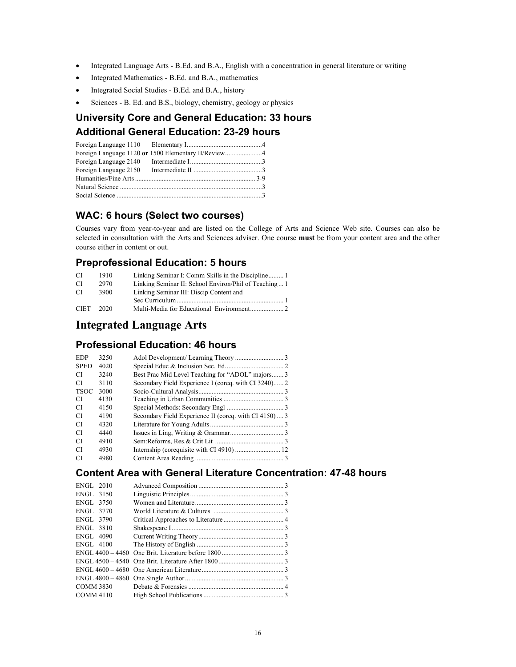- Integrated Language Arts B.Ed. and B.A., English with a concentration in general literature or writing
- Integrated Mathematics B.Ed. and B.A., mathematics
- Integrated Social Studies B.Ed. and B.A., history
- Sciences B. Ed. and B.S., biology, chemistry, geology or physics

# **University Core and General Education: 33 hours Additional General Education: 23-29 hours**

| Foreign Language 2140 |  |
|-----------------------|--|
| Foreign Language 2150 |  |
|                       |  |
|                       |  |
|                       |  |

### **WAC: 6 hours (Select two courses)**

Courses vary from year-to-year and are listed on the College of Arts and Science Web site. Courses can also be selected in consultation with the Arts and Sciences adviser. One course **must** be from your content area and the other course either in content or out.

#### **Preprofessional Education: 5 hours**

| CI.         | 1910 |                                                       |
|-------------|------|-------------------------------------------------------|
| CI          | 2970 | Linking Seminar II: School Environ/Phil of Teaching 1 |
| CI.         | 3900 | Linking Seminar III: Discip Content and               |
|             |      |                                                       |
| <b>CIET</b> | 2020 |                                                       |

### **Integrated Language Arts**

### **Professional Education: 46 hours**

| <b>EDP</b>  | 3250 |                                                        |
|-------------|------|--------------------------------------------------------|
| <b>SPED</b> | 4020 |                                                        |
| CI          | 3240 | Best Prac Mid Level Teaching for "ADOL" majors 3       |
| CI          | 3110 | Secondary Field Experience I (coreq. with CI 3240) 2   |
| <b>TSOC</b> | 3000 |                                                        |
| CI          | 4130 |                                                        |
| CI          | 4150 |                                                        |
| CI          | 4190 | Secondary Field Experience II (coreq. with CI 4150)  3 |
| CI          | 4320 |                                                        |
| СI          | 4440 |                                                        |
| СI          | 4910 |                                                        |
| СI          | 4930 |                                                        |
| CI          | 4980 |                                                        |

### **Content Area with General Literature Concentration: 47-48 hours**

| <b>ENGL 2010</b> |  |
|------------------|--|
| ENGL 3150        |  |
| ENGL 3750        |  |
| ENGL 3770        |  |
| ENGL 3790        |  |
| ENGL 3810        |  |
| <b>ENGL 4090</b> |  |
| ENGL 4100        |  |
|                  |  |
|                  |  |
|                  |  |
|                  |  |
| <b>COMM 3830</b> |  |
| COMM 4110        |  |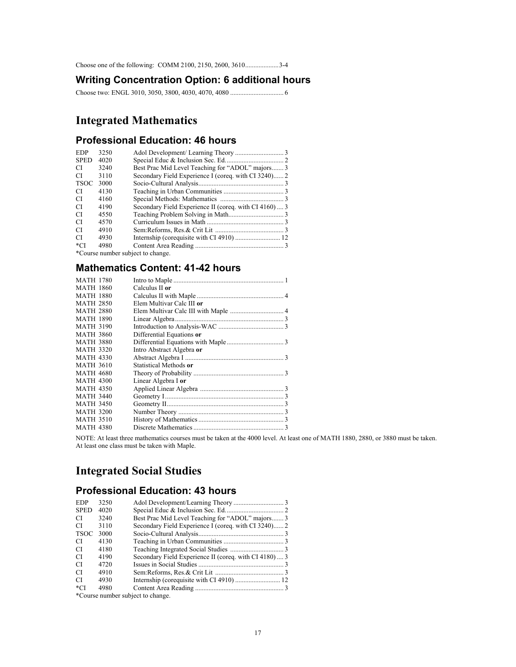Choose one of the following: COMM 2100, 2150, 2600, 3610....................3-4

#### **Writing Concentration Option: 6 additional hours**

Choose two: ENGL 3010, 3050, 3800, 4030, 4070, 4080 ................................ 6

# **Integrated Mathematics**

### **Professional Education: 46 hours**

| <b>EDP</b>  | 3250 |                                                       |  |
|-------------|------|-------------------------------------------------------|--|
| <b>SPED</b> | 4020 |                                                       |  |
| СI          | 3240 | Best Prac Mid Level Teaching for "ADOL" majors 3      |  |
| СI          | 3110 | Secondary Field Experience I (coreq. with CI 3240) 2  |  |
| TSOC        | 3000 |                                                       |  |
| СI          | 4130 |                                                       |  |
| СI          | 4160 |                                                       |  |
| СI          | 4190 | Secondary Field Experience II (coreq. with CI 4160) 3 |  |
| СI          | 4550 |                                                       |  |
| СI          | 4570 |                                                       |  |
| СI          | 4910 |                                                       |  |
| СI          | 4930 |                                                       |  |
| $^{\ast}CI$ | 4980 |                                                       |  |
| $\sim$      |      |                                                       |  |

\*Course number subject to change.

### **Mathematics Content: 41-42 hours**

| <b>MATH 1780</b> |                           |
|------------------|---------------------------|
| <b>MATH 1860</b> | Calculus II or            |
| <b>MATH 1880</b> |                           |
| <b>MATH 2850</b> | Elem Multivar Calc III or |
| <b>MATH 2880</b> |                           |
| <b>MATH 1890</b> |                           |
| <b>MATH 3190</b> |                           |
| <b>MATH 3860</b> | Differential Equations or |
| <b>MATH 3880</b> |                           |
| <b>MATH 3320</b> | Intro Abstract Algebra or |
| <b>MATH 4330</b> |                           |
| <b>MATH 3610</b> | Statistical Methods or    |
| <b>MATH 4680</b> |                           |
| <b>MATH 4300</b> | Linear Algebra I or       |
| <b>MATH 4350</b> |                           |
| <b>MATH 3440</b> |                           |
| <b>MATH 3450</b> |                           |
| <b>MATH 3200</b> |                           |
| <b>MATH 3510</b> |                           |
| <b>MATH 4380</b> |                           |

NOTE: At least three mathematics courses must be taken at the 4000 level. At least one of MATH 1880, 2880, or 3880 must be taken. At least one class must be taken with Maple.

# **Integrated Social Studies**

### **Professional Education: 43 hours**

| <b>EDP</b>  | 3250 |                                                       |  |
|-------------|------|-------------------------------------------------------|--|
| <b>SPED</b> | 4020 |                                                       |  |
| CI          | 3240 | Best Prac Mid Level Teaching for "ADOL" majors 3      |  |
| CI          | 3110 | Secondary Field Experience I (coreq. with CI 3240) 2  |  |
| <b>TSOC</b> | 3000 |                                                       |  |
| CI.         | 4130 |                                                       |  |
| CI          | 4180 |                                                       |  |
| CI          | 4190 | Secondary Field Experience II (coreq. with CI 4180) 3 |  |
| CI          | 4720 |                                                       |  |
| CI          | 4910 |                                                       |  |
| CI          | 4930 |                                                       |  |
| *CI         | 4980 |                                                       |  |
|             |      |                                                       |  |

\*Course number subject to change.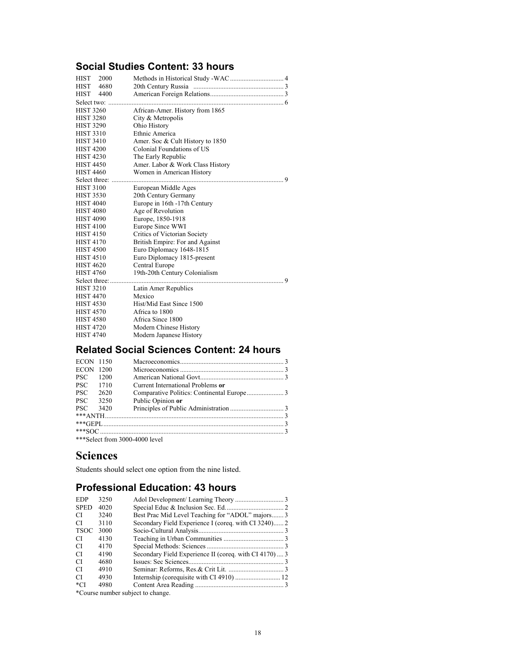## **Social Studies Content: 33 hours**

| <b>HIST</b><br>2000<br>HIST 4680<br>HIST 4400 |                                  |
|-----------------------------------------------|----------------------------------|
| Select two:                                   |                                  |
| <b>HIST 3260</b>                              | African-Amer. History from 1865  |
| <b>HIST 3280</b>                              | City & Metropolis                |
| <b>HIST 3290</b>                              | Ohio History                     |
| <b>HIST 3310</b>                              | Ethnic America                   |
| <b>HIST 3410</b>                              | Amer. Soc & Cult History to 1850 |
| <b>HIST 4200</b>                              | Colonial Foundations of US       |
| <b>HIST 4230</b>                              | The Early Republic               |
| <b>HIST 4450</b>                              | Amer. Labor & Work Class History |
| <b>HIST 4460</b>                              | Women in American History        |
|                                               | 9                                |
| <b>HIST 3100</b>                              | European Middle Ages             |
| <b>HIST 3530</b>                              | 20th Century Germany             |
| <b>HIST 4040</b>                              | Europe in 16th -17th Century     |
| <b>HIST 4080</b>                              | Age of Revolution                |
| <b>HIST 4090</b>                              | Europe, 1850-1918                |
| <b>HIST 4100</b>                              | Europe Since WWI                 |
| <b>HIST 4150</b>                              | Critics of Victorian Society     |
| <b>HIST 4170</b>                              | British Empire: For and Against  |
| <b>HIST 4500</b>                              | Euro Diplomacy 1648-1815         |
| <b>HIST 4510</b>                              | Euro Diplomacy 1815-present      |
| <b>HIST 4620</b>                              | Central Europe                   |
| <b>HIST 4760</b>                              | 19th-20th Century Colonialism    |
|                                               | 9                                |
| <b>HIST 3210</b>                              | Latin Amer Republics             |
| <b>HIST 4470</b>                              | Mexico                           |
| <b>HIST 4530</b>                              | Hist/Mid East Since 1500         |
| <b>HIST 4570</b>                              | Africa to 1800                   |
| <b>HIST 4580</b>                              | Africa Since 1800                |
| <b>HIST 4720</b>                              | Modern Chinese History           |
| <b>HIST 4740</b>                              | Modern Japanese History          |
|                                               |                                  |

# **Related Social Sciences Content: 24 hours**

| <b>ECON 1150</b> |      |                                                                                                                                                                                                                                                                                                                     |  |
|------------------|------|---------------------------------------------------------------------------------------------------------------------------------------------------------------------------------------------------------------------------------------------------------------------------------------------------------------------|--|
| <b>ECON</b>      | 1200 |                                                                                                                                                                                                                                                                                                                     |  |
| <b>PSC</b>       | 1200 |                                                                                                                                                                                                                                                                                                                     |  |
| <b>PSC</b>       | 1710 | Current International Problems or                                                                                                                                                                                                                                                                                   |  |
| <b>PSC</b>       | 2620 |                                                                                                                                                                                                                                                                                                                     |  |
| <b>PSC</b>       | 3250 | Public Opinion or                                                                                                                                                                                                                                                                                                   |  |
| PSC.             | 3420 |                                                                                                                                                                                                                                                                                                                     |  |
|                  |      |                                                                                                                                                                                                                                                                                                                     |  |
|                  |      |                                                                                                                                                                                                                                                                                                                     |  |
|                  |      |                                                                                                                                                                                                                                                                                                                     |  |
|                  |      | $\frac{1}{2}$ $\frac{1}{2}$ $\frac{1}{2}$ $\frac{1}{2}$ $\frac{1}{2}$ $\frac{1}{2}$ $\frac{1}{2}$ $\frac{1}{2}$ $\frac{1}{2}$ $\frac{1}{2}$ $\frac{1}{2}$ $\frac{1}{2}$ $\frac{1}{2}$ $\frac{1}{2}$ $\frac{1}{2}$ $\frac{1}{2}$ $\frac{1}{2}$ $\frac{1}{2}$ $\frac{1}{2}$ $\frac{1}{2}$ $\frac{1}{2}$ $\frac{1}{2}$ |  |

\*\*\*Select from 3000-4000 level

# **Sciences**

Students should select one option from the nine listed.

# **Professional Education: 43 hours**

| <b>EDP</b>  | 3250 |                                                       |  |
|-------------|------|-------------------------------------------------------|--|
| <b>SPED</b> | 4020 |                                                       |  |
| CI          | 3240 | Best Prac Mid Level Teaching for "ADOL" majors 3      |  |
| CI          | 3110 |                                                       |  |
| <b>TSOC</b> | 3000 |                                                       |  |
| CI          | 4130 |                                                       |  |
| CI          | 4170 |                                                       |  |
| CI          | 4190 | Secondary Field Experience II (coreq. with CI 4170) 3 |  |
| CI          | 4680 |                                                       |  |
| CI          | 4910 |                                                       |  |
| CI          | 4930 |                                                       |  |
| *CI         | 4980 |                                                       |  |
|             |      |                                                       |  |

\*Course number subject to change.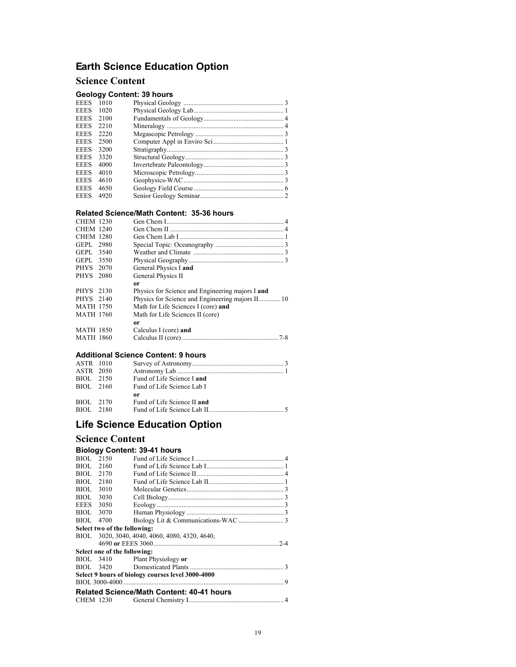# **Earth Science Education Option**

#### **Science Content**

#### **Geology Content: 39 hours**

| <b>EEES</b> | 1010 |  |
|-------------|------|--|
| <b>EEES</b> | 1020 |  |
| <b>EEES</b> | 2100 |  |
| <b>EEES</b> | 2210 |  |
| <b>EEES</b> | 2220 |  |
| <b>EEES</b> | 2500 |  |
| <b>EEES</b> | 3200 |  |
| <b>EEES</b> | 3320 |  |
| <b>EEES</b> | 4000 |  |
| <b>EEES</b> | 4010 |  |
| <b>EEES</b> | 4610 |  |
| <b>EEES</b> | 4650 |  |
| <b>EEES</b> | 4920 |  |
|             |      |  |

#### **Related Science/Math Content: 35-36 hours**

| <b>CHEM 1230</b> |                                                  |
|------------------|--------------------------------------------------|
| CHEM 1240        |                                                  |
| <b>CHEM 1280</b> |                                                  |
| GEPL 2980        |                                                  |
| GEPL 3540        |                                                  |
| GEPL 3550        |                                                  |
| PHYS 2070        | General Physics I and                            |
| PHYS 2080        | General Physics II                               |
|                  |                                                  |
|                  | or                                               |
| PHYS 2130        | Physics for Science and Engineering majors I and |
| PHYS 2140        |                                                  |
| <b>MATH 1750</b> | Math for Life Sciences I (core) and              |
| MATH 1760        | Math for Life Sciences II (core)                 |
|                  | or                                               |
| <b>MATH 1850</b> | Calculus I (core) and                            |
| MATH 1860        |                                                  |

#### **Additional Science Content: 9 hours**

| ASTR 1010 |                             |
|-----------|-----------------------------|
| ASTR 2050 |                             |
| BIOL 2150 | Fund of Life Science I and  |
| BIOL 2160 | Fund of Life Science Lab I  |
|           | or                          |
| BIOL 2170 | Fund of Life Science II and |
| BIOL 2180 |                             |

# **Life Science Education Option**

#### **Science Content**

#### **Biology Content: 39-41 hours**

|                                                   |                              | <b>Related Science/Math Content: 40-41 hours</b> |  |  |
|---------------------------------------------------|------------------------------|--------------------------------------------------|--|--|
|                                                   |                              |                                                  |  |  |
| Select 9 hours of biology courses level 3000-4000 |                              |                                                  |  |  |
|                                                   |                              |                                                  |  |  |
|                                                   |                              | BIOL 3410 Plant Physiology or                    |  |  |
| Select one of the following:                      |                              |                                                  |  |  |
|                                                   |                              |                                                  |  |  |
|                                                   |                              | BIOL 3020, 3040, 4040, 4060, 4080, 4320, 4640,   |  |  |
|                                                   | Select two of the following: |                                                  |  |  |
| BIOL.                                             | 4700                         |                                                  |  |  |
| BIOL                                              | 3070                         |                                                  |  |  |
| <b>EEES</b>                                       | 3050                         |                                                  |  |  |
| BIOL                                              | 3030                         |                                                  |  |  |
| BIOL.                                             | 3010                         |                                                  |  |  |
| BIOL.                                             | 2180                         |                                                  |  |  |
| BIOL.                                             | 2170                         |                                                  |  |  |
| BIOL.                                             | 2160                         |                                                  |  |  |
| BIOL.                                             | 2150                         |                                                  |  |  |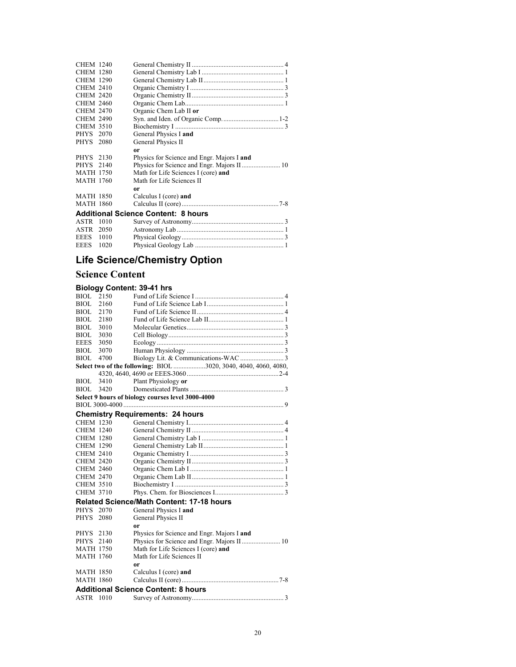| <b>CHEM 1240</b> |      |                                            |
|------------------|------|--------------------------------------------|
| <b>CHEM 1280</b> |      |                                            |
| <b>CHEM 1290</b> |      |                                            |
| <b>CHEM 2410</b> |      |                                            |
| <b>CHEM 2420</b> |      |                                            |
| <b>CHEM 2460</b> |      |                                            |
| <b>CHEM 2470</b> |      | Organic Chem Lab II or                     |
| <b>CHEM 2490</b> |      |                                            |
| <b>CHEM 3510</b> |      |                                            |
| PHYS 2070        |      | General Physics I and                      |
| PHYS 2080        |      | General Physics II                         |
|                  |      | 0r                                         |
| PHYS 2130        |      | Physics for Science and Engr. Majors I and |
| PHYS 2140        |      |                                            |
| <b>MATH 1750</b> |      | Math for Life Sciences I (core) and        |
| <b>MATH 1760</b> |      | Math for Life Sciences II                  |
|                  |      | 0r                                         |
| <b>MATH 1850</b> |      | Calculus I (core) and                      |
| <b>MATH 1860</b> |      |                                            |
|                  |      | <b>Additional Science Content: 8 hours</b> |
| ASTR             | 1010 |                                            |
| ASTR 2050        |      |                                            |
|                  |      |                                            |

### EEES 1010 Physical Geology............................................................. 3 EEES 1020 Physical Geology Lab ..................................................... 1

# **Life Science/Chemistry Option**

### **Science Content**

#### **Biology Content: 39-41 hrs**

| <b>BIOL</b>      | 2150 |                                                                 |
|------------------|------|-----------------------------------------------------------------|
| <b>BIOL</b>      | 2160 |                                                                 |
| <b>BIOL</b>      | 2170 |                                                                 |
| BIOL.            | 2180 |                                                                 |
| BIOL             | 3010 |                                                                 |
| BIOL.            | 3030 |                                                                 |
| <b>EEES</b>      | 3050 |                                                                 |
| BIOL.            | 3070 |                                                                 |
| BIOL             | 4700 |                                                                 |
|                  |      | Select two of the following: BIOL 3020, 3040, 4040, 4060, 4080, |
|                  |      |                                                                 |
| <b>BIOL</b>      | 3410 | Plant Physiology or                                             |
| BIOL 3420        |      |                                                                 |
|                  |      | Select 9 hours of biology courses level 3000-4000               |
|                  |      |                                                                 |
|                  |      | <b>Chemistry Requirements: 24 hours</b>                         |
| <b>CHEM 1230</b> |      |                                                                 |
| <b>CHEM 1240</b> |      |                                                                 |
| <b>CHEM 1280</b> |      |                                                                 |
| <b>CHEM 1290</b> |      |                                                                 |
| <b>CHEM 2410</b> |      |                                                                 |
| <b>CHEM 2420</b> |      |                                                                 |
| <b>CHEM 2460</b> |      |                                                                 |
| <b>CHEM 2470</b> |      |                                                                 |
| <b>CHEM 3510</b> |      |                                                                 |
| <b>CHEM 3710</b> |      |                                                                 |
|                  |      | <b>Related Science/Math Content: 17-18 hours</b>                |
| PHYS 2070        |      | General Physics I and                                           |
| <b>PHYS</b>      | 2080 | General Physics II                                              |
|                  |      | 0r                                                              |
| PHYS 2130        |      | Physics for Science and Engr. Majors I and                      |
| PHYS 2140        |      |                                                                 |
| <b>MATH 1750</b> |      | Math for Life Sciences I (core) and                             |
| <b>MATH 1760</b> |      | Math for Life Sciences II                                       |
|                  |      | 0r                                                              |
| MATH 1850        |      | Calculus I (core) and                                           |
| <b>MATH 1860</b> |      |                                                                 |
|                  |      | <b>Additional Science Content: 8 hours</b>                      |
| ASTR 1010        |      |                                                                 |
|                  |      |                                                                 |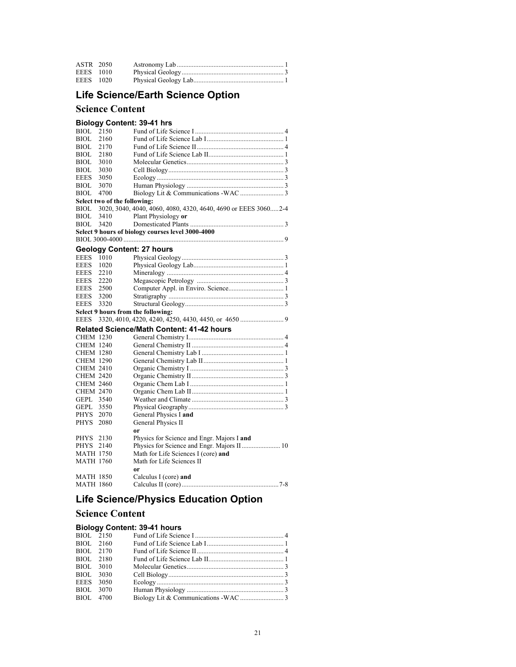| ASTR 2050 |  |
|-----------|--|
| EEES 1010 |  |
| EEES 1020 |  |

# **Life Science/Earth Science Option**

### **Science Content**

#### **Biology Content: 39-41 hrs**

| <b>BIOL</b>      | 2150                         |                                                                |
|------------------|------------------------------|----------------------------------------------------------------|
| <b>BIOL</b>      | 2160                         |                                                                |
| <b>BIOL</b>      | 2170                         |                                                                |
| <b>BIOL</b>      | 2180                         |                                                                |
| <b>BIOL</b>      | 3010                         |                                                                |
| <b>BIOL</b>      | 3030                         |                                                                |
| <b>EEES</b>      | 3050                         |                                                                |
| BIOL             | 3070                         |                                                                |
| <b>BIOL</b>      | 4700                         |                                                                |
|                  | Select two of the following: |                                                                |
| BIOL             |                              | 3020, 3040, 4040, 4060, 4080, 4320, 4640, 4690 or EEES 30602-4 |
| <b>BIOL</b>      | 3410                         | Plant Physiology or                                            |
| <b>BIOL</b>      | 3420                         |                                                                |
|                  |                              | Select 9 hours of biology courses level 3000-4000              |
|                  |                              |                                                                |
|                  |                              | <b>Geology Content: 27 hours</b>                               |
| <b>EEES</b>      | 1010                         |                                                                |
| <b>EEES</b>      | 1020                         |                                                                |
| <b>EEES</b>      | 2210                         |                                                                |
| <b>EEES</b>      | 2220                         |                                                                |
| EEES             | 2500                         |                                                                |
| <b>EEES</b>      | 3200                         |                                                                |
| EEES             | 3320                         |                                                                |
|                  |                              | Select 9 hours from the following:                             |
| <b>EEES</b>      |                              |                                                                |
|                  |                              |                                                                |
|                  |                              | <b>Related Science/Math Content: 41-42 hours</b>               |
| <b>CHEM 1230</b> |                              |                                                                |
| <b>CHEM 1240</b> |                              |                                                                |
| <b>CHEM 1280</b> |                              |                                                                |
| <b>CHEM 1290</b> |                              |                                                                |
| <b>CHEM 2410</b> |                              |                                                                |
| <b>CHEM 2420</b> |                              |                                                                |
| <b>CHEM 2460</b> |                              |                                                                |
| <b>CHEM 2470</b> |                              |                                                                |
| GEPL 3540        |                              |                                                                |
| GEPL 3550        |                              |                                                                |
| PHYS 2070        |                              | General Physics I and                                          |
| PHYS             | 2080                         | General Physics II                                             |
|                  |                              | 0r                                                             |
| PHYS             | 2130                         | Physics for Science and Engr. Majors I and                     |
| PHYS 2140        |                              | Physics for Science and Engr. Majors II 10                     |
| <b>MATH 1750</b> |                              | Math for Life Sciences I (core) and                            |
| <b>MATH 1760</b> |                              | Math for Life Sciences II                                      |
|                  |                              | 0r                                                             |
| <b>MATH 1850</b> |                              | Calculus I (core) and                                          |
| <b>MATH 1860</b> |                              |                                                                |

# **Life Science/Physics Education Option**

### **Science Content**

#### **Biology Content: 39-41 hours**

| BIOL 2150 |  |  |
|-----------|--|--|
| BIOL 2160 |  |  |
| BIOL 2170 |  |  |
| BIOL 2180 |  |  |
| BIOL 3010 |  |  |
| BIOL 3030 |  |  |
| EEES 3050 |  |  |
| BIOL 3070 |  |  |
| BIOL 4700 |  |  |
|           |  |  |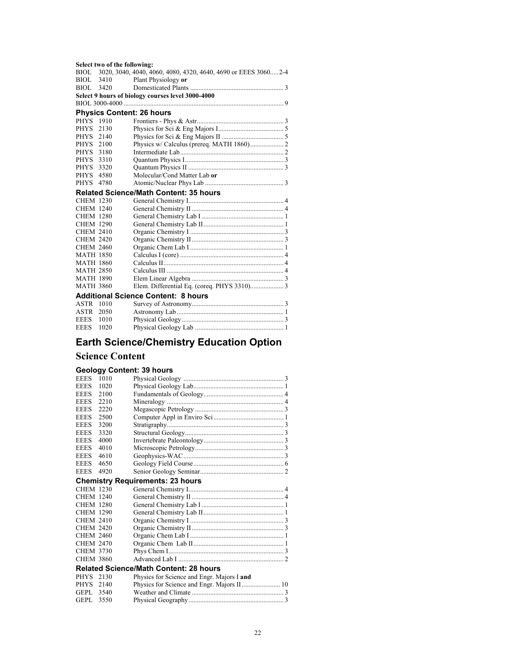#### **Select two of the following:**

|                  | $\mathbf{u}$ and $\mathbf{v}$ and $\mathbf{u}$ |                                                                     |
|------------------|------------------------------------------------|---------------------------------------------------------------------|
|                  |                                                | BIOL 3020, 3040, 4040, 4060, 4080, 4320, 4640, 4690 or EEES 30602-4 |
| BIOL             | 3410                                           | Plant Physiology or                                                 |
| BIOL.            | 3420                                           |                                                                     |
|                  |                                                | Select 9 hours of biology courses level 3000-4000                   |
|                  |                                                |                                                                     |
|                  |                                                | <b>Physics Content: 26 hours</b>                                    |
| PHYS 1910        |                                                |                                                                     |
| <b>PHYS</b>      | 2130                                           |                                                                     |
| PHYS 2140        |                                                |                                                                     |
| PHYS             | 2100                                           | Physics w/ Calculus (prereq. MATH 1860) 2                           |
| <b>PHYS</b>      | 3180                                           |                                                                     |
| <b>PHYS</b>      | 3310                                           |                                                                     |
| <b>PHYS</b>      | 3320                                           |                                                                     |
| PHYS             | 4580                                           | Molecular/Cond Matter Lab or                                        |
| PHYS             | 4780                                           |                                                                     |
|                  |                                                | <b>Related Science/Math Content: 35 hours</b>                       |
| <b>CHEM 1230</b> |                                                |                                                                     |
| <b>CHEM 1240</b> |                                                |                                                                     |
| <b>CHEM 1280</b> |                                                |                                                                     |
| <b>CHEM 1290</b> |                                                |                                                                     |
| <b>CHEM 2410</b> |                                                |                                                                     |
| <b>CHEM 2420</b> |                                                |                                                                     |
| <b>CHEM 2460</b> |                                                |                                                                     |
| <b>MATH 1850</b> |                                                |                                                                     |
| <b>MATH 1860</b> |                                                |                                                                     |
| <b>MATH 2850</b> |                                                |                                                                     |
| <b>MATH 1890</b> |                                                |                                                                     |
| <b>MATH 3860</b> |                                                | Elem. Differential Eq. (coreq. PHYS 3310) 3                         |
|                  |                                                | <b>Additional Science Content: 8 hours</b>                          |
| ASTR 1010        |                                                |                                                                     |
| ASTR             | 2050                                           |                                                                     |
| <b>EEES</b>      | 1010                                           |                                                                     |
| <b>EEES</b>      | 1020                                           |                                                                     |

# **Earth Science/Chemistry Education Option**

#### **Science Content**

#### **Geology Content: 39 hours**

| <b>EEES</b>      | 1010 |                                               |
|------------------|------|-----------------------------------------------|
| <b>EEES</b>      | 1020 |                                               |
| <b>EEES</b>      | 2100 |                                               |
| <b>EEES</b>      | 2210 |                                               |
| <b>EEES</b>      | 2220 |                                               |
| <b>EEES</b>      | 2500 |                                               |
| <b>EEES</b>      | 3200 |                                               |
| <b>EEES</b>      | 3320 |                                               |
| <b>EEES</b>      | 4000 |                                               |
| <b>EEES</b>      | 4010 |                                               |
| <b>EEES</b>      | 4610 |                                               |
| <b>EEES</b>      | 4650 |                                               |
| <b>EEES</b>      | 4920 |                                               |
|                  |      | <b>Chemistry Requirements: 23 hours</b>       |
| <b>CHEM 1230</b> |      |                                               |
|                  |      |                                               |
| <b>CHEM 1240</b> |      |                                               |
| <b>CHEM 1280</b> |      |                                               |
| <b>CHEM 1290</b> |      |                                               |
| <b>CHEM 2410</b> |      |                                               |
| <b>CHEM 2420</b> |      |                                               |
| <b>CHEM 2460</b> |      |                                               |
| <b>CHEM 2470</b> |      |                                               |
| <b>CHEM 3730</b> |      |                                               |
| <b>CHEM 3860</b> |      |                                               |
|                  |      | <b>Related Science/Math Content: 28 hours</b> |
| PHYS 2130        |      | Physics for Science and Engr. Majors I and    |
| <b>PHYS</b>      | 2140 |                                               |
| GEPL.            | 3540 |                                               |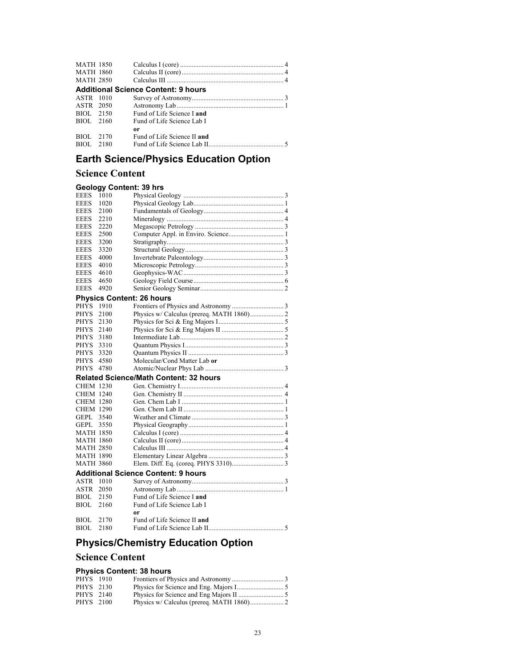| <b>MATH 1850</b> |           |                                            |
|------------------|-----------|--------------------------------------------|
|                  | MATH 1860 |                                            |
| <b>MATH 2850</b> |           |                                            |
|                  |           | <b>Additional Science Content: 9 hours</b> |
| ASTR 1010        |           |                                            |
| ASTR 2050        |           |                                            |
|                  | BIOL 2150 | Fund of Life Science Land                  |
|                  | BIOL 2160 | Fund of Life Science Lab I                 |
|                  |           | or                                         |
| BIOL 2170        |           | Fund of Life Science II and                |
| BIOL 2180        |           |                                            |

# **Earth Science/Physics Education Option**

# **Science Content**

| Science Content     |                                               |
|---------------------|-----------------------------------------------|
|                     | <b>Geology Content: 39 hrs</b>                |
| <b>EEES</b><br>1010 |                                               |
| <b>EEES</b><br>1020 |                                               |
| <b>EEES</b><br>2100 |                                               |
| <b>EEES</b><br>2210 |                                               |
| <b>EEES</b><br>2220 |                                               |
| <b>EEES</b><br>2500 |                                               |
| <b>EEES</b><br>3200 |                                               |
| <b>EEES</b><br>3320 |                                               |
| <b>EEES</b><br>4000 |                                               |
| <b>EEES</b><br>4010 |                                               |
| <b>EEES</b><br>4610 |                                               |
| <b>EEES</b><br>4650 |                                               |
| <b>EEES</b><br>4920 |                                               |
|                     | <b>Physics Content: 26 hours</b>              |
| PHYS<br>1910        |                                               |
| <b>PHYS</b><br>2100 |                                               |
| <b>PHYS</b><br>2130 |                                               |
| <b>PHYS</b><br>2140 |                                               |
| <b>PHYS</b><br>3180 |                                               |
| <b>PHYS</b><br>3310 |                                               |
| <b>PHYS</b><br>3320 |                                               |
| <b>PHYS</b><br>4580 | Molecular/Cond Matter Lab or                  |
| 4780<br><b>PHYS</b> |                                               |
|                     | <b>Related Science/Math Content: 32 hours</b> |
| <b>CHEM 1230</b>    |                                               |
| <b>CHEM 1240</b>    |                                               |
| CHEM 1280           |                                               |
| <b>CHEM 1290</b>    |                                               |
| <b>GEPL</b><br>3540 |                                               |
| <b>GEPL</b><br>3550 |                                               |
| MATH 1850           |                                               |
| MATH 1860           |                                               |
| MATH 2850           |                                               |
| <b>MATH 1890</b>    |                                               |
| <b>MATH 3860</b>    |                                               |
|                     | <b>Additional Science Content: 9 hours</b>    |
| ASTR<br>1010        |                                               |
| ASTR<br>2050        |                                               |
| BIOL.<br>2150       | Fund of Life Science I and                    |
| 2160<br>BIOL.       | Fund of Life Science Lab I                    |
|                     | 0r                                            |
| BIOL<br>2170        | Fund of Life Science II and                   |
| <b>BIOL</b><br>2180 |                                               |
|                     |                                               |

# **Physics/Chemistry Education Option**

## **Science Content**

### **Physics Content: 38 hours**

| PHYS 1910 |  |  |
|-----------|--|--|
| PHYS 2130 |  |  |
| PHYS 2140 |  |  |
| PHYS 2100 |  |  |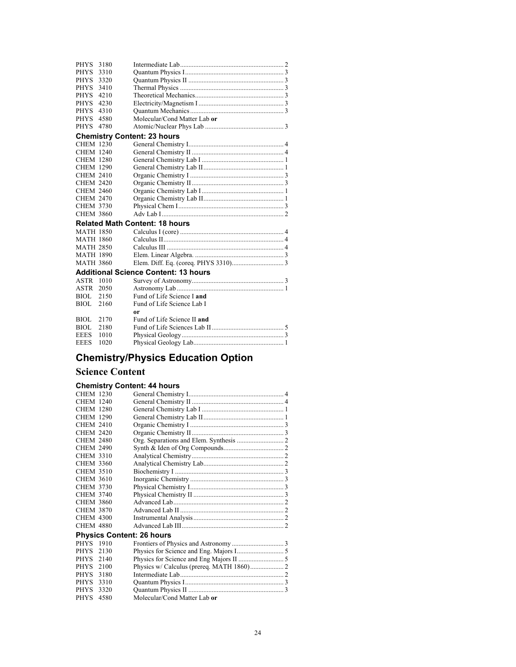| <b>PHYS</b>      | 3180 |                                             |  |
|------------------|------|---------------------------------------------|--|
| <b>PHYS</b>      | 3310 |                                             |  |
| PHYS             | 3320 |                                             |  |
| <b>PHYS</b>      | 3410 |                                             |  |
| <b>PHYS</b>      | 4210 |                                             |  |
| PHYS.            | 4230 |                                             |  |
| PHYS             | 4310 |                                             |  |
| PHYS             | 4580 | Molecular/Cond Matter Lab or                |  |
| <b>PHYS</b>      | 4780 |                                             |  |
|                  |      | <b>Chemistry Content: 23 hours</b>          |  |
| <b>CHEM 1230</b> |      |                                             |  |
| <b>CHEM 1240</b> |      |                                             |  |
| <b>CHEM 1280</b> |      |                                             |  |
| <b>CHEM 1290</b> |      |                                             |  |
| <b>CHEM 2410</b> |      |                                             |  |
| <b>CHEM 2420</b> |      |                                             |  |
| <b>CHEM 2460</b> |      |                                             |  |
| <b>CHEM 2470</b> |      |                                             |  |
| <b>CHEM 3730</b> |      |                                             |  |
| <b>CHEM 3860</b> |      |                                             |  |
|                  |      | <b>Related Math Content: 18 hours</b>       |  |
| MATH 1850        |      |                                             |  |
| <b>MATH 1860</b> |      |                                             |  |
| <b>MATH 2850</b> |      |                                             |  |
| <b>MATH 1890</b> |      |                                             |  |
| <b>MATH 3860</b> |      |                                             |  |
|                  |      | <b>Additional Science Content: 13 hours</b> |  |
| <b>ASTR 1010</b> |      |                                             |  |
| ASTR             | 2050 |                                             |  |
| BIOL.            | 2150 | Fund of Life Science I and                  |  |
| <b>BIOL</b>      | 2160 | Fund of Life Science Lab I                  |  |
|                  |      | 0r                                          |  |
| <b>BIOL</b>      | 2170 | Fund of Life Science II and                 |  |
| <b>BIOL</b>      | 2180 |                                             |  |
| <b>EEES</b>      | 1010 |                                             |  |
| <b>EEES</b>      | 1020 |                                             |  |
|                  |      |                                             |  |

# **Chemistry/Physics Education Option**

### **Science Content**

### **Chemistry Content: 44 hours**

| <b>CHEM 1230</b> |      |                                  |  |
|------------------|------|----------------------------------|--|
| <b>CHEM 1240</b> |      |                                  |  |
| <b>CHEM 1280</b> |      |                                  |  |
| <b>CHEM 1290</b> |      |                                  |  |
| <b>CHEM 2410</b> |      |                                  |  |
| <b>CHEM 2420</b> |      |                                  |  |
| <b>CHEM 2480</b> |      |                                  |  |
| <b>CHEM 2490</b> |      |                                  |  |
| <b>CHEM 3310</b> |      |                                  |  |
| <b>CHEM 3360</b> |      |                                  |  |
| <b>CHEM 3510</b> |      |                                  |  |
| <b>CHEM 3610</b> |      |                                  |  |
| <b>CHEM 3730</b> |      |                                  |  |
| CHEM 3740        |      |                                  |  |
| <b>CHEM 3860</b> |      |                                  |  |
| <b>CHEM 3870</b> |      |                                  |  |
| <b>CHEM 4300</b> |      |                                  |  |
| <b>CHEM 4880</b> |      |                                  |  |
|                  |      | <b>Physics Content: 26 hours</b> |  |
| PHYS 1910        |      |                                  |  |
| PHYS             | 2130 |                                  |  |
| PHYS             | 2140 |                                  |  |
| <b>PHYS</b>      | 2100 |                                  |  |
| <b>PHYS</b>      | 3180 |                                  |  |
| PHYS             | 3310 |                                  |  |
| <b>PHYS</b>      | 3320 |                                  |  |
| PHYS             | 4580 | Molecular/Cond Matter Lab or     |  |
|                  |      |                                  |  |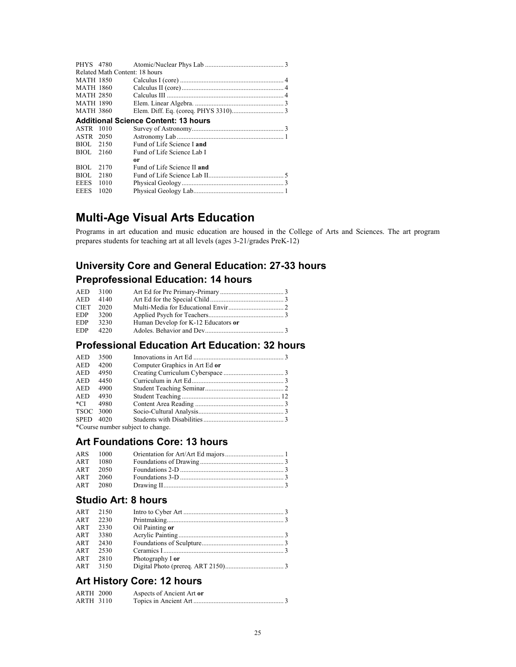|                  | PHYS 4780                      |                                             |
|------------------|--------------------------------|---------------------------------------------|
|                  | Related Math Content: 18 hours |                                             |
| <b>MATH 1850</b> |                                |                                             |
| <b>MATH 1860</b> |                                |                                             |
| <b>MATH 2850</b> |                                |                                             |
| <b>MATH 1890</b> |                                |                                             |
| <b>MATH 3860</b> |                                |                                             |
|                  |                                | <b>Additional Science Content: 13 hours</b> |
| ASTR             | -1010                          |                                             |
| ASTR 2050        |                                |                                             |
| BIOL 2150        |                                | Fund of Life Science I and                  |
| BIOL.            | 2160                           | Fund of Life Science Lab I                  |
|                  |                                | 0r                                          |
| BIOL             | 2170                           | Fund of Life Science II and                 |
| BIOL.            | 2180                           |                                             |
| <b>EEES</b>      | 1010                           |                                             |
| <b>EEES</b>      | 1020                           |                                             |

# **Multi-Age Visual Arts Education**

Programs in art education and music education are housed in the College of Arts and Sciences. The art program prepares students for teaching art at all levels (ages 3-21/grades PreK-12)

# **University Core and General Education: 27-33 hours Preprofessional Education: 14 hours**

| AED 3100    |      |                                     |  |
|-------------|------|-------------------------------------|--|
| AED         | 4140 |                                     |  |
| <b>CIET</b> | 2020 |                                     |  |
| EDP.        | 3200 |                                     |  |
| <b>EDP</b>  | 3230 | Human Develop for K-12 Educators or |  |
| <b>EDP</b>  | 4220 |                                     |  |

# **Professional Education Art Education: 32 hours**

| <b>AED</b>  | 3500   |                                  |  |
|-------------|--------|----------------------------------|--|
| <b>AED</b>  | 4200   | Computer Graphics in Art Ed or   |  |
| <b>AED</b>  | 4950   |                                  |  |
| <b>AED</b>  | 4450   |                                  |  |
| <b>AED</b>  | 4900   |                                  |  |
| <b>AED</b>  | 4930   |                                  |  |
| *CI         | 4980   |                                  |  |
| TSOC 3000   |        |                                  |  |
| <b>SPED</b> | - 4020 |                                  |  |
|             |        | *Course number subject to change |  |

her subject to change.

## **Art Foundations Core: 13 hours**

|     | ARS 1000 |                            |  |
|-----|----------|----------------------------|--|
| ART | 1080     |                            |  |
| ART | - 2050   | Foundations 2-D $\ldots$ 3 |  |
| ART | - 2060   |                            |  |
| ART | - 2080   |                            |  |

#### **Studio Art: 8 hours**

| ART<br><b>ART</b><br>ART | 2150<br>2230<br>2330 | Oil Painting or  |  |
|--------------------------|----------------------|------------------|--|
| ART                      | 3380                 |                  |  |
| ART                      | 2430                 |                  |  |
| ART                      | 2530                 |                  |  |
| ART                      | 2810                 | Photography I or |  |
| ART                      | 3150                 |                  |  |

# **Art History Core: 12 hours**

| <b>ARTH 2000</b> | Aspects of Ancient Art or |
|------------------|---------------------------|
| ARTH 3110        |                           |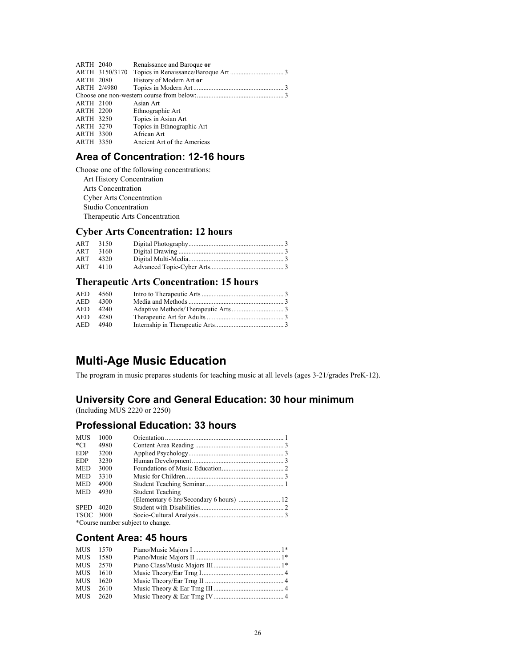| <b>ARTH 2040</b> |                | Renaissance and Baroque or  |  |
|------------------|----------------|-----------------------------|--|
|                  | ARTH 3150/3170 |                             |  |
| <b>ARTH 2080</b> |                | History of Modern Art or    |  |
| ARTH 2/4980      |                |                             |  |
|                  |                |                             |  |
| <b>ARTH 2100</b> |                | Asian Art                   |  |
| <b>ARTH 2200</b> |                | Ethnographic Art            |  |
| <b>ARTH 3250</b> |                | Topics in Asian Art         |  |
| <b>ARTH 3270</b> |                | Topics in Ethnographic Art  |  |
| <b>ARTH 3300</b> |                | African Art                 |  |
| <b>ARTH 3350</b> |                | Ancient Art of the Americas |  |
|                  |                |                             |  |

### **Area of Concentration: 12-16 hours**

Choose one of the following concentrations: Art History Concentration Arts Concentration Cyber Arts Concentration Studio Concentration Therapeutic Arts Concentration

### **Cyber Arts Concentration: 12 hours**

| ART 3150 |  |
|----------|--|
| ART 3160 |  |
| ART 4320 |  |
| ART 4110 |  |

### **Therapeutic Arts Concentration: 15 hours**

| AED 4560 |  |
|----------|--|
| AED 4300 |  |
| AED 4240 |  |
| AED 4280 |  |
| AED 4940 |  |

# **Multi-Age Music Education**

The program in music prepares students for teaching music at all levels (ages 3-21/grades PreK-12).

### **University Core and General Education: 30 hour minimum**

(Including MUS 2220 or 2250)

#### **Professional Education: 33 hours**

| <b>MUS</b>  | 1000                              |                         |  |  |  |
|-------------|-----------------------------------|-------------------------|--|--|--|
| $^*$ CI     | 4980                              |                         |  |  |  |
| <b>EDP</b>  | 3200                              |                         |  |  |  |
| <b>EDP</b>  | 3230                              |                         |  |  |  |
| <b>MED</b>  | 3000                              |                         |  |  |  |
| <b>MED</b>  | 3310                              |                         |  |  |  |
| <b>MED</b>  | 4900                              |                         |  |  |  |
| <b>MED</b>  | 4930                              | <b>Student Teaching</b> |  |  |  |
|             |                                   |                         |  |  |  |
| <b>SPED</b> | 4020                              |                         |  |  |  |
| TSOC 3000   |                                   |                         |  |  |  |
|             | *Course number subject to change. |                         |  |  |  |

### **Content Area: 45 hours**

| MUS 1570 |      |  |
|----------|------|--|
| MUS 1580 |      |  |
| MUS 2570 |      |  |
| MUS 1610 |      |  |
| MUS 1620 |      |  |
| MUS      | 2610 |  |
| MUS 2620 |      |  |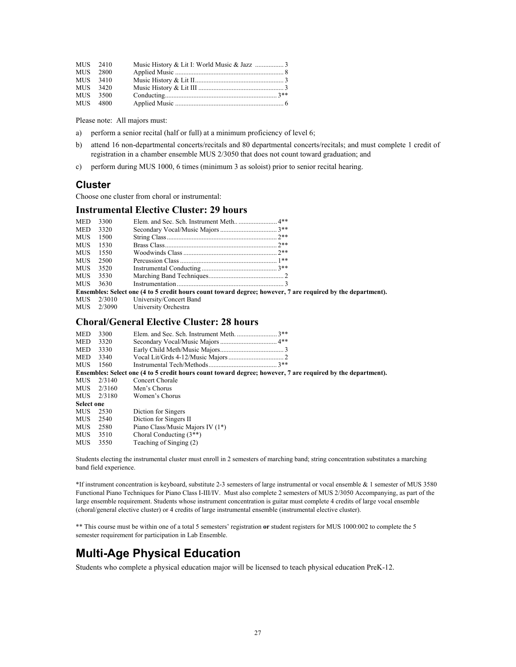|          | MUS 2410 |  |
|----------|----------|--|
|          | MUS 2800 |  |
|          | MUS 3410 |  |
| MUS 3420 |          |  |
|          | MUS 3500 |  |
|          | MUS 4800 |  |

Please note: All majors must:

- a) perform a senior recital (half or full) at a minimum proficiency of level 6;
- b) attend 16 non-departmental concerts/recitals and 80 departmental concerts/recitals; and must complete 1 credit of registration in a chamber ensemble MUS 2/3050 that does not count toward graduation; and
- c) perform during MUS 1000, 6 times (minimum 3 as soloist) prior to senior recital hearing.

#### **Cluster**

Choose one cluster from choral or instrumental:

#### **Instrumental Elective Cluster: 29 hours**

| <b>MED</b> | 3300   |                                                                                                             |  |
|------------|--------|-------------------------------------------------------------------------------------------------------------|--|
| <b>MED</b> | 3320   |                                                                                                             |  |
| <b>MUS</b> | 1500   |                                                                                                             |  |
| <b>MUS</b> | 1530   |                                                                                                             |  |
| <b>MUS</b> | 1550   |                                                                                                             |  |
| <b>MUS</b> | 2500   |                                                                                                             |  |
| <b>MUS</b> | 3520   |                                                                                                             |  |
| MUS.       | 3530   |                                                                                                             |  |
| MUS.       | 3630   |                                                                                                             |  |
|            |        | Ensembles: Select one (4 to 5 credit hours count toward degree; however, 7 are required by the department). |  |
| MUS.       | 2/3010 | University/Concert Band                                                                                     |  |
| MUS -      | 2/3090 | University Orchestra                                                                                        |  |

#### **Choral/General Elective Cluster: 28 hours**

| <b>MED</b>        | 3300       | $3**$                                                                                                       |
|-------------------|------------|-------------------------------------------------------------------------------------------------------------|
| MED               | 3320       |                                                                                                             |
| MED               | 3330       |                                                                                                             |
| MED               | 3340       |                                                                                                             |
| MUS.              | 1560       |                                                                                                             |
|                   |            | Ensembles: Select one (4 to 5 credit hours count toward degree; however, 7 are required by the department). |
| MUS-              | 2/3140     | Concert Chorale                                                                                             |
| MUS-              | 2/3160     | Men's Chorus                                                                                                |
|                   | MUS 2/3180 | Women's Chorus                                                                                              |
| <b>Select one</b> |            |                                                                                                             |
| MUS.              | 2530       | Diction for Singers                                                                                         |
| MUS.              | 2540       | Diction for Singers II                                                                                      |
| MUS-              | 2580       | Piano Class/Music Majors IV (1*)                                                                            |
| MUS-              | 3510       | Choral Conducting $(3^{**})$                                                                                |
| MUS               | 3550       | Teaching of Singing (2)                                                                                     |
|                   |            |                                                                                                             |

Students electing the instrumental cluster must enroll in 2 semesters of marching band; string concentration substitutes a marching band field experience.

\*If instrument concentration is keyboard, substitute 2-3 semesters of large instrumental or vocal ensemble & 1 semester of MUS 3580 Functional Piano Techniques for Piano Class I-III/IV. Must also complete 2 semesters of MUS 2/3050 Accompanying, as part of the large ensemble requirement. Students whose instrument concentration is guitar must complete 4 credits of large vocal ensemble (choral/general elective cluster) or 4 credits of large instrumental ensemble (instrumental elective cluster).

\*\* This course must be within one of a total 5 semesters' registration **or** student registers for MUS 1000:002 to complete the 5 semester requirement for participation in Lab Ensemble.

# **Multi-Age Physical Education**

Students who complete a physical education major will be licensed to teach physical education PreK-12.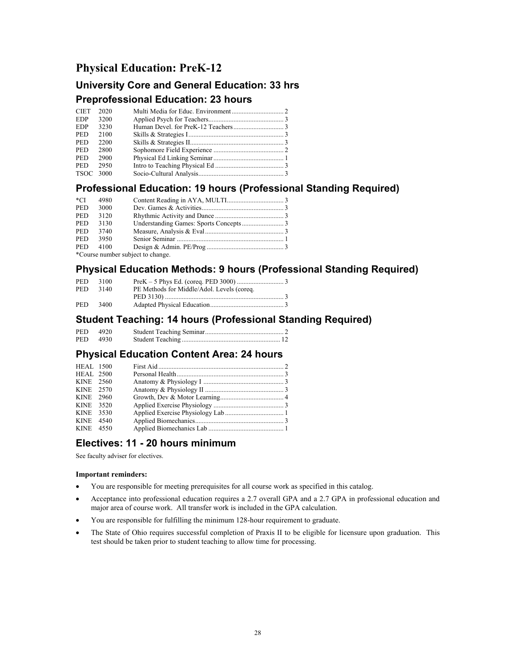### **Physical Education: PreK-12**

# **University Core and General Education: 33 hrs**

#### **Preprofessional Education: 23 hours**

| <b>CIET</b>      | 2020 |  |
|------------------|------|--|
| EDP.             | 3200 |  |
| <b>EDP</b>       | 3230 |  |
| <b>PED</b>       | 2100 |  |
| <b>PED</b>       | 2200 |  |
| <b>PED</b>       | 2800 |  |
| <b>PED</b>       | 2900 |  |
| <b>PED</b>       | 2950 |  |
| <b>TSOC</b> 3000 |      |  |

### **Professional Education: 19 hours (Professional Standing Required)**

| *CI        | 4980 |                                                               |  |
|------------|------|---------------------------------------------------------------|--|
| <b>PED</b> | 3000 |                                                               |  |
| <b>PED</b> | 3120 |                                                               |  |
| PED.       | 3130 |                                                               |  |
| PED.       | 3740 |                                                               |  |
| PED.       | 3950 |                                                               |  |
| PED.       | 4100 |                                                               |  |
|            |      | $*_{\alpha_1,\alpha_2,\alpha_3}$ we also a subject to above a |  |

\*Course number subject to change.

### **Physical Education Methods: 9 hours (Professional Standing Required)**

| <b>PED</b> | 3100  |                                            |  |
|------------|-------|--------------------------------------------|--|
| <b>PED</b> | 3140  | PE Methods for Middle/Adol. Levels (coreq. |  |
|            |       |                                            |  |
| <b>PED</b> | -3400 |                                            |  |

#### **Student Teaching: 14 hours (Professional Standing Required)**

| <b>PED</b> | 4920 |  |
|------------|------|--|
| <b>PED</b> | 4930 |  |

# **Physical Education Content Area: 24 hours**

| <b>HEAL 1500</b> |      |  |
|------------------|------|--|
| <b>HEAL 2500</b> |      |  |
| KINE 2560        |      |  |
| KINE 2570        |      |  |
| KINE 2960        |      |  |
| KINE 3520        |      |  |
| KINE 3530        |      |  |
| <b>KINE</b>      | 4540 |  |
| KINE 4550        |      |  |

### **Electives: 11 - 20 hours minimum**

See faculty adviser for electives.

#### **Important reminders:**

- You are responsible for meeting prerequisites for all course work as specified in this catalog.
- Acceptance into professional education requires a 2.7 overall GPA and a 2.7 GPA in professional education and major area of course work. All transfer work is included in the GPA calculation.
- You are responsible for fulfilling the minimum 128-hour requirement to graduate.
- The State of Ohio requires successful completion of Praxis II to be eligible for licensure upon graduation. This test should be taken prior to student teaching to allow time for processing.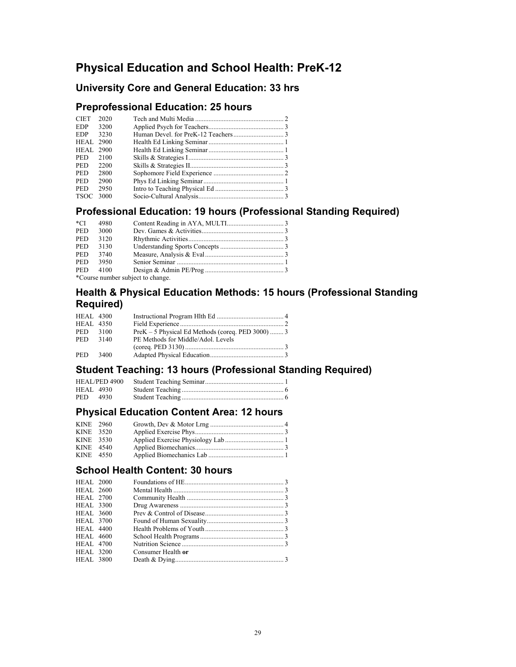# **Physical Education and School Health: PreK-12**

### **University Core and General Education: 33 hrs**

### **Preprofessional Education: 25 hours**

| 2020             |  |
|------------------|--|
| 3200             |  |
| 3230             |  |
| <b>HEAL 2900</b> |  |
| <b>HEAL 2900</b> |  |
| 2100             |  |
| 2200             |  |
| 2800             |  |
| 2900             |  |
| 2950             |  |
| 3000             |  |
|                  |  |

## **Professional Education: 19 hours (Professional Standing Required)**

| $*$ CI     | 4980 |                                   |  |
|------------|------|-----------------------------------|--|
| <b>PED</b> | 3000 |                                   |  |
| <b>PED</b> | 3120 |                                   |  |
| <b>PED</b> | 3130 |                                   |  |
| <b>PED</b> | 3740 |                                   |  |
| <b>PED</b> | 3950 |                                   |  |
| PED.       | 4100 |                                   |  |
|            |      | *Course number subject to change. |  |

### **Health & Physical Education Methods: 15 hours (Professional Standing Required)**

| <b>HEAL 4300</b> |      |                                                     |  |
|------------------|------|-----------------------------------------------------|--|
| <b>HEAL 4350</b> |      |                                                     |  |
| PED 3100         |      | $PreK - 5$ Physical Ed Methods (coreg. PED 3000)  3 |  |
| PED.             | 3140 | PE Methods for Middle/Adol. Levels                  |  |
|                  |      |                                                     |  |
| PED 3400         |      |                                                     |  |

### **Student Teaching: 13 hours (Professional Standing Required)**

| <b>HEAL 4930</b> |  |  |
|------------------|--|--|
| PED 4930         |  |  |

### **Physical Education Content Area: 12 hours**

| KINE 2960 |  |  |
|-----------|--|--|
| KINE 3520 |  |  |
| KINE 3530 |  |  |
| KINE 4540 |  |  |
| KINE 4550 |  |  |

### **School Health Content: 30 hours**

| <b>HEAL 2000</b> |                    |  |
|------------------|--------------------|--|
| <b>HEAL 2600</b> |                    |  |
| <b>HEAL 2700</b> |                    |  |
| <b>HEAL 3300</b> |                    |  |
| HEAL 3600        |                    |  |
| <b>HEAL 3700</b> |                    |  |
| <b>HEAL 4400</b> |                    |  |
| HEAL 4600        |                    |  |
| <b>HEAL 4700</b> |                    |  |
| <b>HEAL 3200</b> | Consumer Health or |  |
| <b>HEAL 3800</b> |                    |  |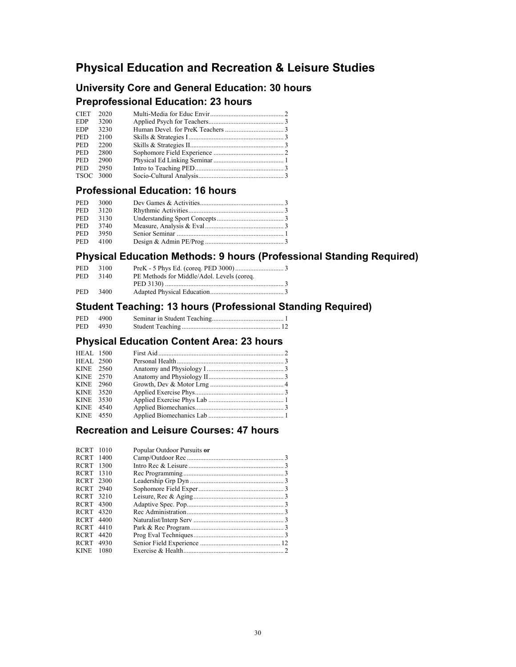# **Physical Education and Recreation & Leisure Studies**

## **University Core and General Education: 30 hours**

### **Preprofessional Education: 23 hours**

| <b>CIET</b> | 2020 |  |
|-------------|------|--|
| <b>EDP</b>  | 3200 |  |
| <b>EDP</b>  | 3230 |  |
| <b>PED</b>  | 2100 |  |
| <b>PED</b>  | 2200 |  |
| <b>PED</b>  | 2800 |  |
| <b>PED</b>  | 2900 |  |
| <b>PED</b>  | 2950 |  |
| TSOC 3000   |      |  |
|             |      |  |

### **Professional Education: 16 hours**

| PED.       | 3000 |  |
|------------|------|--|
| <b>PED</b> | 3120 |  |
| PED.       | 3130 |  |
| PED.       | 3740 |  |
| PED.       | 3950 |  |
| <b>PED</b> | 4100 |  |

# **Physical Education Methods: 9 hours (Professional Standing Required)**

| <b>PED</b> | 3100 |                                            |  |
|------------|------|--------------------------------------------|--|
| <b>PED</b> | 3140 | PE Methods for Middle/Adol. Levels (coreq. |  |
|            |      |                                            |  |
| <b>PED</b> | 3400 |                                            |  |

### **Student Teaching: 13 hours (Professional Standing Required)**

| <b>PED</b> | 4900   |  |
|------------|--------|--|
| <b>PED</b> | - 4930 |  |

### **Physical Education Content Area: 23 hours**

| <b>HEAL</b> 1500 |  |  |
|------------------|--|--|
| <b>HEAL 2500</b> |  |  |
| KINE 2560        |  |  |
| KINE 2570        |  |  |
| KINE 2960        |  |  |
| KINE 3520        |  |  |
| KINE 3530        |  |  |
| KINE 4540        |  |  |
| KINE 4550        |  |  |

### **Recreation and Leisure Courses: 47 hours**

| <b>RCRT</b>      | 1010 | Popular Outdoor Pursuits or |  |
|------------------|------|-----------------------------|--|
| RCRT 1400        |      |                             |  |
| <b>RCRT</b>      | 1300 |                             |  |
| <b>RCRT</b>      | 1310 |                             |  |
| <b>RCRT</b> 2300 |      |                             |  |
| RCRT 2940        |      |                             |  |
| RCRT 3210        |      |                             |  |
| RCRT 4300        |      |                             |  |
| <b>RCRT</b>      | 4320 |                             |  |
| <b>RCRT</b>      | 4400 |                             |  |
| <b>RCRT</b>      | 4410 |                             |  |
| <b>RCRT</b>      | 4420 |                             |  |
| <b>RCRT</b>      | 4930 |                             |  |
| <b>KINE</b>      | 1080 |                             |  |
|                  |      |                             |  |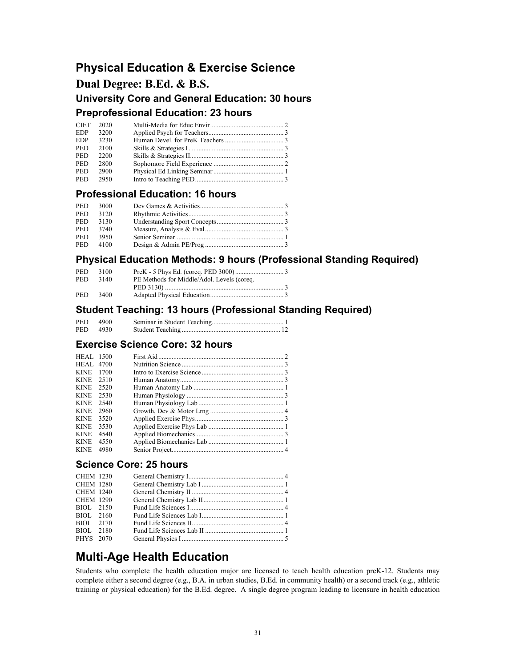# **Physical Education & Exercise Science**

### **Dual Degree: B.Ed. & B.S.**

**University Core and General Education: 30 hours Preprofessional Education: 23 hours** 

| CIET       | 2020 |  |
|------------|------|--|
| <b>EDP</b> | 3200 |  |
| <b>EDP</b> | 3230 |  |
| PED.       | 2100 |  |
| <b>PED</b> | 2200 |  |
| PED.       | 2800 |  |
| PED.       | 2900 |  |
| PED.       | 2950 |  |

#### **Professional Education: 16 hours**

| <b>PED</b> | 3000 |  |
|------------|------|--|
| <b>PED</b> | 3120 |  |
| <b>PED</b> | 3130 |  |
| <b>PED</b> | 3740 |  |
| <b>PED</b> | 3950 |  |
| PED.       | 4100 |  |

### **Physical Education Methods: 9 hours (Professional Standing Required)**

| <b>PED</b> | 3100 |                                            |  |
|------------|------|--------------------------------------------|--|
| <b>PED</b> | 3140 | PE Methods for Middle/Adol. Levels (coreq. |  |
|            |      |                                            |  |
| <b>PED</b> | 3400 |                                            |  |

#### **Student Teaching: 13 hours (Professional Standing Required)**

| <b>PED</b> | 4900   |  |
|------------|--------|--|
| PED.       | - 4930 |  |

#### **Exercise Science Core: 32 hours**

| <b>HEAL</b> 4700    |  |
|---------------------|--|
| <b>KINE</b><br>1700 |  |
| <b>KINE</b><br>2510 |  |
| <b>KINE</b><br>2520 |  |
| <b>KINE</b><br>2530 |  |
| <b>KINE</b><br>2540 |  |
| <b>KINE</b><br>2960 |  |
| <b>KINE</b><br>3520 |  |
| <b>KINE</b><br>3530 |  |
| <b>KINE</b><br>4540 |  |
| <b>KINE</b><br>4550 |  |
| <b>KINE</b><br>4980 |  |

### **Science Core: 25 hours**

| <b>CHEM 1230</b> |  |  |
|------------------|--|--|
| <b>CHEM 1280</b> |  |  |
| <b>CHEM 1240</b> |  |  |
| <b>CHEM 1290</b> |  |  |
| BIOL 2150        |  |  |
| BIOL 2160        |  |  |
| BIOL 2170        |  |  |
| BIOL 2180        |  |  |
| PHYS 2070        |  |  |
|                  |  |  |

# **Multi-Age Health Education**

Students who complete the health education major are licensed to teach health education preK-12. Students may complete either a second degree (e.g., B.A. in urban studies, B.Ed. in community health) or a second track (e.g., athletic training or physical education) for the B.Ed. degree. A single degree program leading to licensure in health education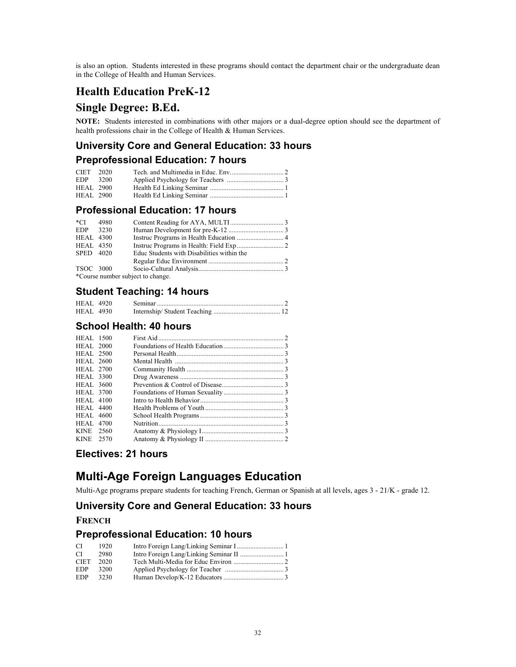is also an option. Students interested in these programs should contact the department chair or the undergraduate dean in the College of Health and Human Services.

# **Health Education PreK-12**

### **Single Degree: B.Ed.**

**NOTE:** Students interested in combinations with other majors or a dual-degree option should see the department of health professions chair in the College of Health & Human Services.

### **University Core and General Education: 33 hours**

### **Preprofessional Education: 7 hours**

| CIET 2020        |      |  |
|------------------|------|--|
| EDP.             | 3200 |  |
| <b>HEAL</b> 2900 |      |  |
| <b>HEAL 2900</b> |      |  |

#### **Professional Education: 17 hours**

| *CI              | 4980 |                                            |  |
|------------------|------|--------------------------------------------|--|
| EDP.             | 3230 |                                            |  |
| <b>HEAL 4300</b> |      |                                            |  |
| <b>HEAL 4350</b> |      |                                            |  |
| SPED 4020        |      | Educ Students with Disabilities within the |  |
|                  |      |                                            |  |
| TSOC 3000        |      |                                            |  |
|                  |      | *Course number subject to change.          |  |

### **Student Teaching: 14 hours**

| <b>HEAL</b> 4920 |  |  |
|------------------|--|--|
| <b>HEAL 4930</b> |  |  |

### **School Health: 40 hours**

| <b>HEAL</b> 1500<br><b>HEAL</b> 2000<br><b>HEAL 2500</b><br><b>HEAL</b> 2600<br><b>HEAL</b> 2700<br><b>HEAL</b> 3300<br><b>HEAL</b> 3600<br><b>HEAL</b> 3700<br><b>HEAL</b> 4100<br><b>HEAL</b> 4400<br><b>HEAL</b> 4600<br><b>HEAL</b> 4700<br>KINE 2560<br>KINE 2570 |  |
|------------------------------------------------------------------------------------------------------------------------------------------------------------------------------------------------------------------------------------------------------------------------|--|

### **Electives: 21 hours**

# **Multi-Age Foreign Languages Education**

Multi-Age programs prepare students for teaching French, German or Spanish at all levels, ages 3 - 21/K - grade 12.

### **University Core and General Education: 33 hours**

#### **FRENCH**

#### **Preprofessional Education: 10 hours**

| СI          | 1920 |  |
|-------------|------|--|
| СI          | 2980 |  |
| <b>CIET</b> | 2020 |  |
| <b>EDP</b>  | 3200 |  |
| <b>EDP</b>  | 3230 |  |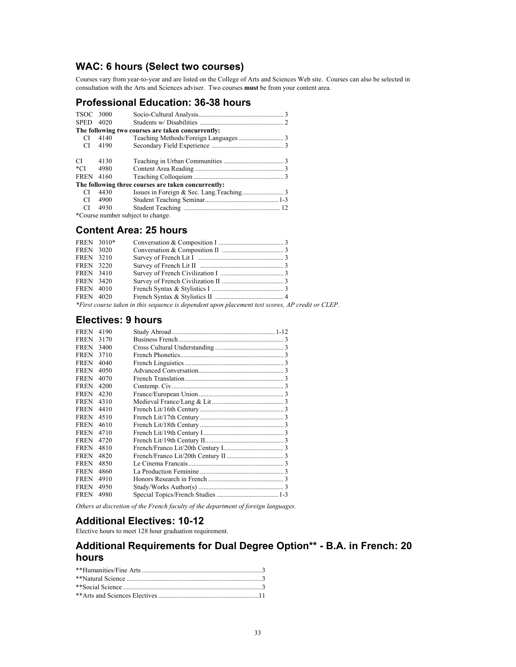## **WAC: 6 hours (Select two courses)**

Courses vary from year-to-year and are listed on the College of Arts and Sciences Web site. Courses can also be selected in consultation with the Arts and Sciences adviser. Two courses **must** be from your content area.

### **Professional Education: 36-38 hours**

| TSOC 3000                                           |                                   |                                                   |  |  |
|-----------------------------------------------------|-----------------------------------|---------------------------------------------------|--|--|
| <b>SPED</b>                                         | 4020                              |                                                   |  |  |
|                                                     |                                   | The following two courses are taken concurrently: |  |  |
| CI                                                  | 4140                              |                                                   |  |  |
| CI.                                                 | 4190                              |                                                   |  |  |
| CI.                                                 | 4130                              |                                                   |  |  |
| $*$ CI                                              | 4980                              |                                                   |  |  |
| <b>FREN</b> 4160                                    |                                   |                                                   |  |  |
| The following three courses are taken concurrently: |                                   |                                                   |  |  |
| CI.                                                 | 4430                              |                                                   |  |  |
| CI                                                  | 4900                              |                                                   |  |  |
| CI.                                                 | 4930                              |                                                   |  |  |
|                                                     | *Course number subject to change. |                                                   |  |  |

#### **Content Area: 25 hours**

| FREN 3010*       |                                                                                                  |  |
|------------------|--------------------------------------------------------------------------------------------------|--|
| <b>FREN</b> 3020 |                                                                                                  |  |
| <b>FREN</b> 3210 |                                                                                                  |  |
| <b>FREN</b> 3220 |                                                                                                  |  |
| <b>FREN</b> 3410 |                                                                                                  |  |
| <b>FREN</b> 3420 |                                                                                                  |  |
| <b>FREN</b> 4010 |                                                                                                  |  |
| <b>FREN</b> 4020 |                                                                                                  |  |
|                  | *First course taken in this sequence is dependent upon placement test scores, AP credit or CLEP. |  |

#### **Electives: 9 hours**

| <b>FREN</b> | 4190 |  |
|-------------|------|--|
| <b>FREN</b> | 3170 |  |
| <b>FREN</b> | 3400 |  |
| <b>FREN</b> | 3710 |  |
| <b>FREN</b> | 4040 |  |
| <b>FREN</b> | 4050 |  |
| <b>FREN</b> | 4070 |  |
| <b>FREN</b> | 4200 |  |
| <b>FREN</b> | 4230 |  |
| <b>FREN</b> | 4310 |  |
| <b>FREN</b> | 4410 |  |
| <b>FREN</b> | 4510 |  |
| <b>FREN</b> | 4610 |  |
| <b>FREN</b> | 4710 |  |
| <b>FREN</b> | 4720 |  |
| <b>FREN</b> | 4810 |  |
| <b>FREN</b> | 4820 |  |
| <b>FREN</b> | 4850 |  |
| <b>FREN</b> | 4860 |  |
| <b>FREN</b> | 4910 |  |
| <b>FREN</b> | 4950 |  |
| <b>FREN</b> | 4980 |  |
|             |      |  |

*Others at discretion of the French faculty of the department of foreign languages.*

# **Additional Electives: 10-12**

Elective hours to meet 128 hour graduation requirement.

### **Additional Requirements for Dual Degree Option\*\* - B.A. in French: 20 hours**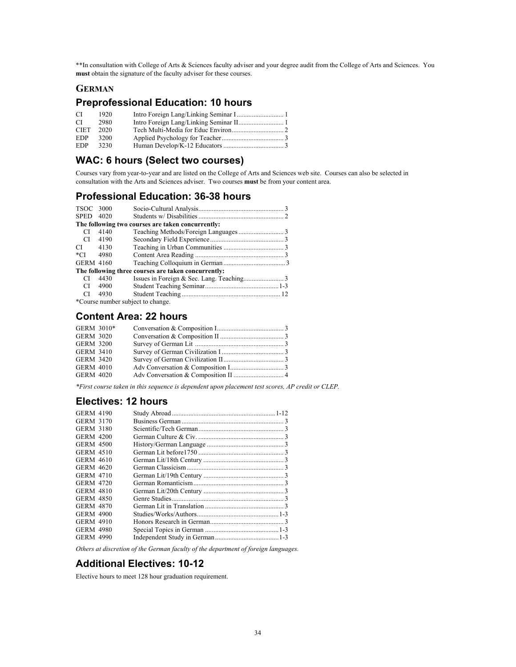\*\*In consultation with College of Arts & Sciences faculty adviser and your degree audit from the College of Arts and Sciences. You **must** obtain the signature of the faculty adviser for these courses.

#### **GERMAN**

### **Preprofessional Education: 10 hours**

| CI          | 1920 |  |
|-------------|------|--|
| CI          | 2980 |  |
| <b>CIET</b> | 2020 |  |
| <b>EDP</b>  | 3200 |  |
| <b>EDP</b>  | 3230 |  |

### **WAC: 6 hours (Select two courses)**

Courses vary from year-to-year and are listed on the College of Arts and Sciences web site. Courses can also be selected in consultation with the Arts and Sciences adviser. Two courses **must** be from your content area.

#### **Professional Education: 36-38 hours**

| TSOC 3000        |      |                                                     |  |
|------------------|------|-----------------------------------------------------|--|
| SPED 4020        |      |                                                     |  |
|                  |      | The following two courses are taken concurrently:   |  |
| CI               | 4140 |                                                     |  |
| CI.              | 4190 |                                                     |  |
| СI               | 4130 |                                                     |  |
| *CI              | 4980 |                                                     |  |
| <b>GERM 4160</b> |      |                                                     |  |
|                  |      | The following three courses are taken concurrently: |  |
| CI               | 4430 |                                                     |  |
| CI               | 4900 |                                                     |  |
| CI               | 4930 |                                                     |  |
|                  |      | $\star \cap$ 1 1 $\star \cdot$ 1                    |  |

\*Course number subject to change.

#### **Content Area: 22 hours**

| GERM 3010*       |  |  |
|------------------|--|--|
| <b>GERM 3020</b> |  |  |
| <b>GERM 3200</b> |  |  |
| <b>GERM 3410</b> |  |  |
| <b>GERM 3420</b> |  |  |
| <b>GERM 4010</b> |  |  |
| <b>GERM 4020</b> |  |  |

*\*First course taken in this sequence is dependent upon placement test scores, AP credit or CLEP.*

#### **Electives: 12 hours**

| <b>GERM 4190</b> |  |
|------------------|--|
| GERM 3170        |  |
| GERM 3180        |  |
| GERM 4200        |  |
| <b>GERM 4500</b> |  |
| GERM 4510        |  |
| GERM 4610        |  |
| GERM 4620        |  |
| GERM 4710        |  |
| <b>GERM 4720</b> |  |
| GERM 4810        |  |
| <b>GERM 4850</b> |  |
| GERM 4870        |  |
| GERM 4900        |  |
| GERM 4910        |  |
| <b>GERM 4980</b> |  |
| <b>GERM 4990</b> |  |
|                  |  |

*Others at discretion of the German faculty of the department of foreign languages.*

#### **Additional Electives: 10-12**

Elective hours to meet 128 hour graduation requirement.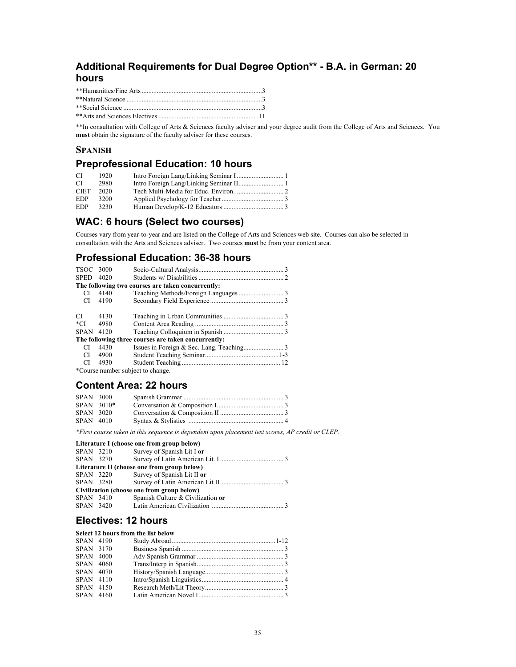## **Additional Requirements for Dual Degree Option\*\* - B.A. in German: 20 hours**

\*\*In consultation with College of Arts & Sciences faculty adviser and your degree audit from the College of Arts and Sciences. You **must** obtain the signature of the faculty adviser for these courses.

### **SPANISH**

## **Preprofessional Education: 10 hours**

| CI          | 1920 |  |
|-------------|------|--|
| CI          | 2980 |  |
| <b>CIET</b> | 2020 |  |
| <b>EDP</b>  | 3200 |  |
| EDP.        | 3230 |  |

### **WAC: 6 hours (Select two courses)**

Courses vary from year-to-year and are listed on the College of Arts and Sciences web site. Courses can also be selected in consultation with the Arts and Sciences adviser. Two courses **must** be from your content area.

### **Professional Education: 36-38 hours**

| TSOC 3000   |                                   |                                                     |  |  |  |
|-------------|-----------------------------------|-----------------------------------------------------|--|--|--|
| <b>SPED</b> | 4020                              |                                                     |  |  |  |
|             |                                   | The following two courses are taken concurrently:   |  |  |  |
| СI          | 4140                              |                                                     |  |  |  |
| CI.         | 4190                              |                                                     |  |  |  |
| CI.         | 4130                              |                                                     |  |  |  |
| $*$ CI      | 4980                              |                                                     |  |  |  |
| <b>SPAN</b> | 4120                              |                                                     |  |  |  |
|             |                                   | The following three courses are taken concurrently: |  |  |  |
| CI          | 4430                              |                                                     |  |  |  |
| CI          | 4900                              |                                                     |  |  |  |
| CI          | 4930                              |                                                     |  |  |  |
|             | *Course number subject to change. |                                                     |  |  |  |

### **Content Area: 22 hours**

| <b>SPAN 3000</b> |            |  |
|------------------|------------|--|
|                  | SPAN 3010* |  |
| SPAN 3020        |            |  |
| SPAN 4010        |            |  |

*\*First course taken in this sequence is dependent upon placement test scores, AP credit or CLEP.*

#### **Literature I (choose one from group below)**

| SPAN 3210 |           | Survey of Spanish Lit I or                  |  |
|-----------|-----------|---------------------------------------------|--|
| SPAN 3270 |           |                                             |  |
|           |           | Literature II (choose one from group below) |  |
|           | SPAN 3220 | Survey of Spanish Lit II or                 |  |
|           |           |                                             |  |
|           |           | Civilization (choose one from group below)  |  |
| SPAN 3410 |           | Spanish Culture & Civilization or           |  |
|           |           |                                             |  |
|           |           |                                             |  |

### **Electives: 12 hours**

#### **Select 12 hours from the list below**

| SPAN 4190 |  |  |
|-----------|--|--|
| SPAN 3170 |  |  |
| SPAN 4000 |  |  |
| SPAN 4060 |  |  |
| SPAN 4070 |  |  |
| SPAN 4110 |  |  |
| SPAN 4150 |  |  |
| SPAN 4160 |  |  |
|           |  |  |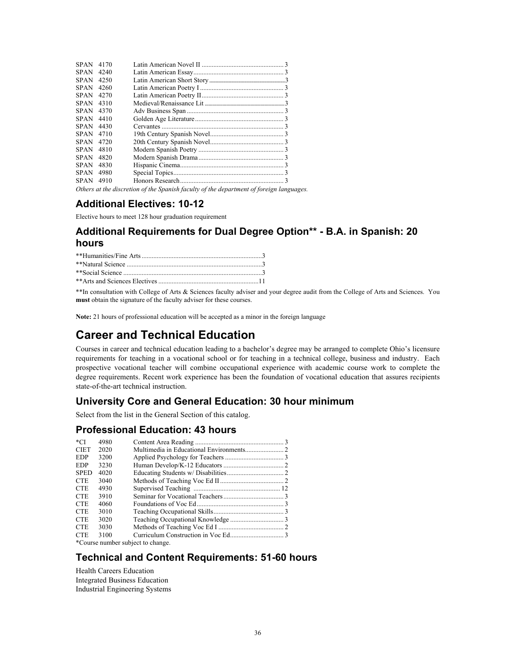| <b>SPAN</b> | 4170 |                                                                                                                                                                                                                                |  |
|-------------|------|--------------------------------------------------------------------------------------------------------------------------------------------------------------------------------------------------------------------------------|--|
| <b>SPAN</b> | 4240 |                                                                                                                                                                                                                                |  |
| <b>SPAN</b> | 4250 |                                                                                                                                                                                                                                |  |
| <b>SPAN</b> | 4260 |                                                                                                                                                                                                                                |  |
| SPAN        | 4270 |                                                                                                                                                                                                                                |  |
| <b>SPAN</b> | 4310 |                                                                                                                                                                                                                                |  |
| <b>SPAN</b> | 4370 |                                                                                                                                                                                                                                |  |
| <b>SPAN</b> | 4410 |                                                                                                                                                                                                                                |  |
| <b>SPAN</b> | 4430 |                                                                                                                                                                                                                                |  |
| <b>SPAN</b> | 4710 |                                                                                                                                                                                                                                |  |
| <b>SPAN</b> | 4720 |                                                                                                                                                                                                                                |  |
| <b>SPAN</b> | 4810 |                                                                                                                                                                                                                                |  |
| <b>SPAN</b> | 4820 |                                                                                                                                                                                                                                |  |
| <b>SPAN</b> | 4830 |                                                                                                                                                                                                                                |  |
| <b>SPAN</b> | 4980 |                                                                                                                                                                                                                                |  |
| <b>SPAN</b> | 4910 |                                                                                                                                                                                                                                |  |
|             |      | in the contract of the contract of the contract of the contract of the contract of the contract of the contract of the contract of the contract of the contract of the contract of the contract of the contract of the contrac |  |

*Others at the discretion of the Spanish faculty of the department of foreign languages.*

### **Additional Electives: 10-12**

Elective hours to meet 128 hour graduation requirement

# **Additional Requirements for Dual Degree Option\*\* - B.A. in Spanish: 20 hours**

| **Social Science $\ldots$ 3 |  |
|-----------------------------|--|
|                             |  |

\*\*In consultation with College of Arts & Sciences faculty adviser and your degree audit from the College of Arts and Sciences. You **must** obtain the signature of the faculty adviser for these courses.

**Note:** 21 hours of professional education will be accepted as a minor in the foreign language

# **Career and Technical Education**

Courses in career and technical education leading to a bachelor's degree may be arranged to complete Ohio's licensure requirements for teaching in a vocational school or for teaching in a technical college, business and industry. Each prospective vocational teacher will combine occupational experience with academic course work to complete the degree requirements. Recent work experience has been the foundation of vocational education that assures recipients state-of-the-art technical instruction.

### **University Core and General Education: 30 hour minimum**

Select from the list in the General Section of this catalog.

#### **Professional Education: 43 hours**

| *CI         | 4980 |                                    |  |
|-------------|------|------------------------------------|--|
| <b>CIET</b> | 2020 |                                    |  |
| <b>EDP</b>  | 3200 |                                    |  |
| EDP         | 3230 |                                    |  |
| <b>SPED</b> | 4020 |                                    |  |
| <b>CTE</b>  | 3040 |                                    |  |
| <b>CTE</b>  | 4930 |                                    |  |
| <b>CTE</b>  | 3910 |                                    |  |
| <b>CTE</b>  | 4060 |                                    |  |
| <b>CTE</b>  | 3010 |                                    |  |
| <b>CTE</b>  | 3020 |                                    |  |
| <b>CTE</b>  | 3030 |                                    |  |
| <b>CTE</b>  | 3100 |                                    |  |
|             |      | $*Conrea number cubic of to chana$ |  |

\*Course number subject to change.

### **Technical and Content Requirements: 51-60 hours**

Health Careers Education Integrated Business Education Industrial Engineering Systems